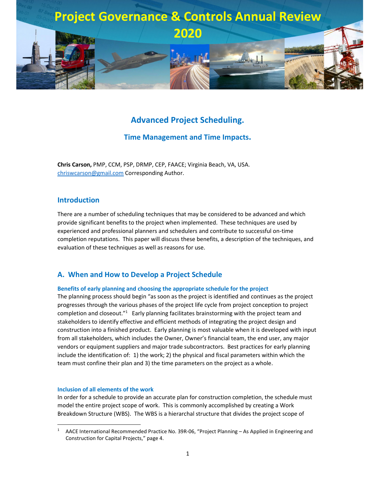

# **Advanced Project Scheduling.**

### **Time Management and Time Impacts.**

**Chris Carson,** PMP, CCM, PSP, DRMP, CEP, FAACE; Virginia Beach, VA, USA. chriswcarson@gmail.com Corresponding Author.

### **Introduction**

There are a number of scheduling techniques that may be considered to be advanced and which provide significant benefits to the project when implemented. These techniques are used by experienced and professional planners and schedulers and contribute to successful on-time completion reputations. This paper will discuss these benefits, a description of the techniques, and evaluation of these techniques as well as reasons for use.

### **A. When and How to Develop a Project Schedule**

#### **Benefits of early planning and choosing the appropriate schedule for the project**

The planning process should begin "as soon as the project is identified and continues as the project progresses through the various phases of the project life cycle from project conception to project completion and closeout."<sup>1</sup> Early planning facilitates brainstorming with the project team and stakeholders to identify effective and efficient methods of integrating the project design and construction into a finished product. Early planning is most valuable when it is developed with input from all stakeholders, which includes the Owner, Owner's financial team, the end user, any major vendors or equipment suppliers and major trade subcontractors. Best practices for early planning include the identification of: 1) the work; 2) the physical and fiscal parameters within which the team must confine their plan and 3) the time parameters on the project as a whole.

#### **Inclusion of all elements of the work**

In order for a schedule to provide an accurate plan for construction completion, the schedule must model the entire project scope of work. This is commonly accomplished by creating a Work Breakdown Structure (WBS). The WBS is a hierarchal structure that divides the project scope of

<sup>1</sup> AACE International Recommended Practice No. 39R-06, "Project Planning – As Applied in Engineering and Construction for Capital Projects," page 4.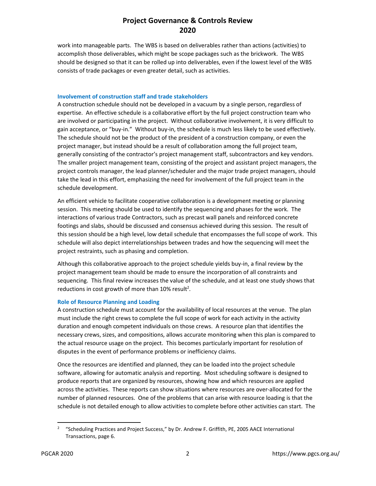work into manageable parts. The WBS is based on deliverables rather than actions (activities) to accomplish those deliverables, which might be scope packages such as the brickwork. The WBS should be designed so that it can be rolled up into deliverables, even if the lowest level of the WBS consists of trade packages or even greater detail, such as activities.

#### **Involvement of construction staff and trade stakeholders**

A construction schedule should not be developed in a vacuum by a single person, regardless of expertise. An effective schedule is a collaborative effort by the full project construction team who are involved or participating in the project. Without collaborative involvement, it is very difficult to gain acceptance, or "buy-in." Without buy-in, the schedule is much less likely to be used effectively. The schedule should not be the product of the president of a construction company, or even the project manager, but instead should be a result of collaboration among the full project team, generally consisting of the contractor's project management staff, subcontractors and key vendors. The smaller project management team, consisting of the project and assistant project managers, the project controls manager, the lead planner/scheduler and the major trade project managers, should take the lead in this effort, emphasizing the need for involvement of the full project team in the schedule development.

An efficient vehicle to facilitate cooperative collaboration is a development meeting or planning session. This meeting should be used to identify the sequencing and phases for the work. The interactions of various trade Contractors, such as precast wall panels and reinforced concrete footings and slabs, should be discussed and consensus achieved during this session. The result of this session should be a high level, low detail schedule that encompasses the full scope of work. This schedule will also depict interrelationships between trades and how the sequencing will meet the project restraints, such as phasing and completion.

Although this collaborative approach to the project schedule yields buy-in, a final review by the project management team should be made to ensure the incorporation of all constraints and sequencing. This final review increases the value of the schedule, and at least one study shows that reductions in cost growth of more than  $10\%$  result<sup>2</sup>.

#### **Role of Resource Planning and Loading**

A construction schedule must account for the availability of local resources at the venue. The plan must include the right crews to complete the full scope of work for each activity in the activity duration and enough competent individuals on those crews. A resource plan that identifies the necessary crews, sizes, and compositions, allows accurate monitoring when this plan is compared to the actual resource usage on the project. This becomes particularly important for resolution of disputes in the event of performance problems or inefficiency claims.

Once the resources are identified and planned, they can be loaded into the project schedule software, allowing for automatic analysis and reporting. Most scheduling software is designed to produce reports that are organized by resources, showing how and which resources are applied across the activities. These reports can show situations where resources are over-allocated for the number of planned resources. One of the problems that can arise with resource loading is that the schedule is not detailed enough to allow activities to complete before other activities can start. The

<sup>2</sup> "Scheduling Practices and Project Success," by Dr. Andrew F. Griffith, PE, 2005 AACE International Transactions, page 6.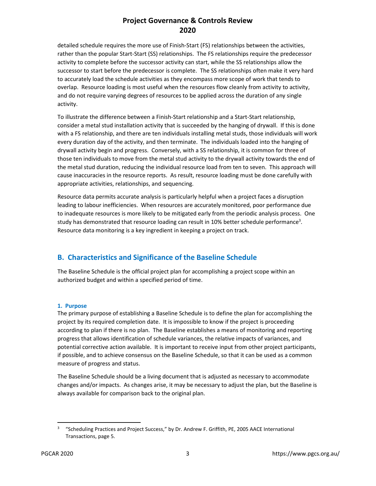detailed schedule requires the more use of Finish-Start (FS) relationships between the activities, rather than the popular Start-Start (SS) relationships. The FS relationships require the predecessor activity to complete before the successor activity can start, while the SS relationships allow the successor to start before the predecessor is complete. The SS relationships often make it very hard to accurately load the schedule activities as they encompass more scope of work that tends to overlap. Resource loading is most useful when the resources flow cleanly from activity to activity, and do not require varying degrees of resources to be applied across the duration of any single activity.

To illustrate the difference between a Finish-Start relationship and a Start-Start relationship, consider a metal stud installation activity that is succeeded by the hanging of drywall. If this is done with a FS relationship, and there are ten individuals installing metal studs, those individuals will work every duration day of the activity, and then terminate. The individuals loaded into the hanging of drywall activity begin and progress. Conversely, with a SS relationship, it is common for three of those ten individuals to move from the metal stud activity to the drywall activity towards the end of the metal stud duration, reducing the individual resource load from ten to seven. This approach will cause inaccuracies in the resource reports. As result, resource loading must be done carefully with appropriate activities, relationships, and sequencing.

Resource data permits accurate analysis is particularly helpful when a project faces a disruption leading to labour inefficiencies. When resources are accurately monitored, poor performance due to inadequate resources is more likely to be mitigated early from the periodic analysis process. One study has demonstrated that resource loading can result in 10% better schedule performance<sup>3</sup>. Resource data monitoring is a key ingredient in keeping a project on track.

# **B. Characteristics and Significance of the Baseline Schedule**

The Baseline Schedule is the official project plan for accomplishing a project scope within an authorized budget and within a specified period of time.

### **1. Purpose**

The primary purpose of establishing a Baseline Schedule is to define the plan for accomplishing the project by its required completion date. It is impossible to know if the project is proceeding according to plan if there is no plan. The Baseline establishes a means of monitoring and reporting progress that allows identification of schedule variances, the relative impacts of variances, and potential corrective action available. It is important to receive input from other project participants, if possible, and to achieve consensus on the Baseline Schedule, so that it can be used as a common measure of progress and status.

The Baseline Schedule should be a living document that is adjusted as necessary to accommodate changes and/or impacts. As changes arise, it may be necessary to adjust the plan, but the Baseline is always available for comparison back to the original plan.

<sup>3</sup> "Scheduling Practices and Project Success," by Dr. Andrew F. Griffith, PE, 2005 AACE International Transactions, page 5.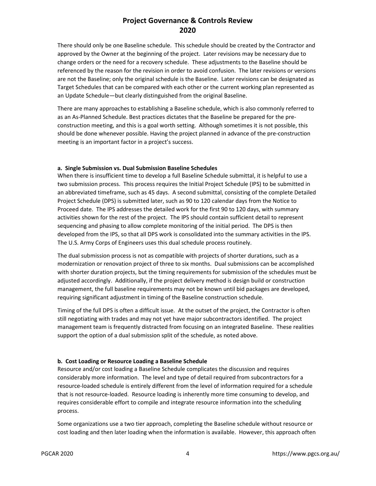There should only be one Baseline schedule. This schedule should be created by the Contractor and approved by the Owner at the beginning of the project. Later revisions may be necessary due to change orders or the need for a recovery schedule. These adjustments to the Baseline should be referenced by the reason for the revision in order to avoid confusion. The later revisions or versions are not the Baseline; only the original schedule is the Baseline. Later revisions can be designated as Target Schedules that can be compared with each other or the current working plan represented as an Update Schedule—but clearly distinguished from the original Baseline.

There are many approaches to establishing a Baseline schedule, which is also commonly referred to as an As-Planned Schedule. Best practices dictates that the Baseline be prepared for the preconstruction meeting, and this is a goal worth setting. Although sometimes it is not possible, this should be done whenever possible. Having the project planned in advance of the pre-construction meeting is an important factor in a project's success.

#### **a. Single Submission vs. Dual Submission Baseline Schedules**

When there is insufficient time to develop a full Baseline Schedule submittal, it is helpful to use a two submission process. This process requires the Initial Project Schedule (IPS) to be submitted in an abbreviated timeframe, such as 45 days. A second submittal, consisting of the complete Detailed Project Schedule (DPS) is submitted later, such as 90 to 120 calendar days from the Notice to Proceed date. The IPS addresses the detailed work for the first 90 to 120 days, with summary activities shown for the rest of the project. The IPS should contain sufficient detail to represent sequencing and phasing to allow complete monitoring of the initial period. The DPS is then developed from the IPS, so that all DPS work is consolidated into the summary activities in the IPS. The U.S. Army Corps of Engineers uses this dual schedule process routinely.

The dual submission process is not as compatible with projects of shorter durations, such as a modernization or renovation project of three to six months. Dual submissions can be accomplished with shorter duration projects, but the timing requirements for submission of the schedules must be adjusted accordingly. Additionally, if the project delivery method is design build or construction management, the full baseline requirements may not be known until bid packages are developed, requiring significant adjustment in timing of the Baseline construction schedule.

Timing of the full DPS is often a difficult issue. At the outset of the project, the Contractor is often still negotiating with trades and may not yet have major subcontractors identified. The project management team is frequently distracted from focusing on an integrated Baseline. These realities support the option of a dual submission split of the schedule, as noted above.

#### **b. Cost Loading or Resource Loading a Baseline Schedule**

Resource and/or cost loading a Baseline Schedule complicates the discussion and requires considerably more information. The level and type of detail required from subcontractors for a resource-loaded schedule is entirely different from the level of information required for a schedule that is not resource-loaded. Resource loading is inherently more time consuming to develop, and requires considerable effort to compile and integrate resource information into the scheduling process.

Some organizations use a two tier approach, completing the Baseline schedule without resource or cost loading and then later loading when the information is available. However, this approach often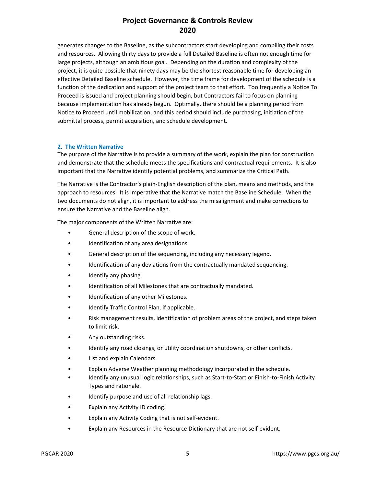generates changes to the Baseline, as the subcontractors start developing and compiling their costs and resources. Allowing thirty days to provide a full Detailed Baseline is often not enough time for large projects, although an ambitious goal. Depending on the duration and complexity of the project, it is quite possible that ninety days may be the shortest reasonable time for developing an effective Detailed Baseline schedule. However, the time frame for development of the schedule is a function of the dedication and support of the project team to that effort. Too frequently a Notice To Proceed is issued and project planning should begin, but Contractors fail to focus on planning because implementation has already begun. Optimally, there should be a planning period from Notice to Proceed until mobilization, and this period should include purchasing, initiation of the submittal process, permit acquisition, and schedule development.

#### **2. The Written Narrative**

The purpose of the Narrative is to provide a summary of the work, explain the plan for construction and demonstrate that the schedule meets the specifications and contractual requirements. It is also important that the Narrative identify potential problems, and summarize the Critical Path.

The Narrative is the Contractor's plain-English description of the plan, means and methods, and the approach to resources. It is imperative that the Narrative match the Baseline Schedule. When the two documents do not align, it is important to address the misalignment and make corrections to ensure the Narrative and the Baseline align.

The major components of the Written Narrative are:

- General description of the scope of work.
- Identification of any area designations.
- General description of the sequencing, including any necessary legend.
- Identification of any deviations from the contractually mandated sequencing.
- Identify any phasing.
- Identification of all Milestones that are contractually mandated.
- Identification of any other Milestones.
- Identify Traffic Control Plan, if applicable.
- Risk management results, identification of problem areas of the project, and steps taken to limit risk.
- Any outstanding risks.
- Identify any road closings, or utility coordination shutdowns, or other conflicts.
- List and explain Calendars.
- Explain Adverse Weather planning methodology incorporated in the schedule.
- Identify any unusual logic relationships, such as Start-to-Start or Finish-to-Finish Activity Types and rationale.
- Identify purpose and use of all relationship lags.
- Explain any Activity ID coding.
- Explain any Activity Coding that is not self-evident.
- Explain any Resources in the Resource Dictionary that are not self-evident.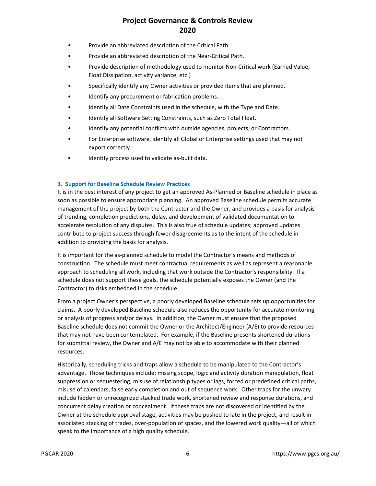- Provide an abbreviated description of the Critical Path.
- Provide an abbreviated description of the Near-Critical Path.
- Provide description of methodology used to monitor Non-Critical work (Earned Value, Float Dissipation, activity variance, etc.)
- Specifically identify any Owner activities or provided items that are planned.
- Identify any procurement or fabrication problems.
- Identify all Date Constraints used in the schedule, with the Type and Date.
- Identify all Software Setting Constraints, such as Zero Total Float.
- Identify any potential conflicts with outside agencies, projects, or Contractors.
- For Enterprise software, identify all Global or Enterprise settings used that may not export correctly.
- Identify process used to validate as-built data.

#### **3. Support for Baseline Schedule Review Practices**

It is in the best interest of any project to get an approved As-Planned or Baseline schedule in place as soon as possible to ensure appropriate planning. An approved Baseline schedule permits accurate management of the project by both the Contractor and the Owner, and provides a basis for analysis of trending, completion predictions, delay, and development of validated documentation to accelerate resolution of any disputes. This is also true of schedule updates; approved updates contribute to project success through fewer disagreements as to the intent of the schedule in addition to providing the basis for analysis.

It is important for the as-planned schedule to model the Contractor's means and methods of construction. The schedule must meet contractual requirements as well as represent a reasonable approach to scheduling all work, including that work outside the Contractor's responsibility. If a schedule does not support these goals, the schedule potentially exposes the Owner (and the Contractor) to risks embedded in the schedule.

From a project Owner's perspective, a poorly developed Baseline schedule sets up opportunities for claims. A poorly developed Baseline schedule also reduces the opportunity for accurate monitoring or analysis of progress and/or delays. In addition, the Owner must ensure that the proposed Baseline schedule does not commit the Owner or the Architect/Engineer (A/E) to provide resources that may not have been contemplated. For example, if the Baseline presents shortened durations for submittal review, the Owner and A/E may not be able to accommodate with their planned resources.

Historically, scheduling tricks and traps allow a schedule to be manipulated to the Contractor's advantage. Those techniques include; missing scope, logic and activity duration manipulation, float suppression or sequestering, misuse of relationship types or lags, forced or predefined critical paths, misuse of calendars, false early completion and out of sequence work. Other traps for the unwary include hidden or unrecognized stacked trade work, shortened review and response durations, and concurrent delay creation or concealment. If these traps are not discovered or identified by the Owner at the schedule approval stage, activities may be pushed to late in the project, and result in associated stacking of trades, over-population of spaces, and the lowered work quality—all of which speak to the importance of a high quality schedule.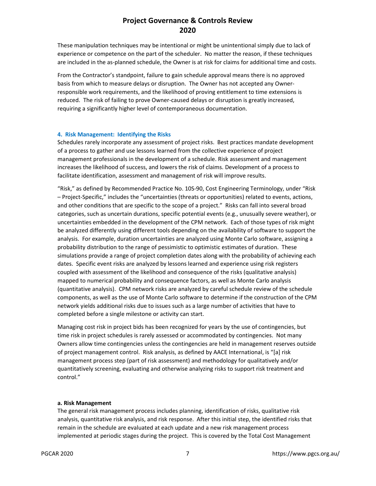These manipulation techniques may be intentional or might be unintentional simply due to lack of experience or competence on the part of the scheduler. No matter the reason, if these techniques are included in the as-planned schedule, the Owner is at risk for claims for additional time and costs.

From the Contractor's standpoint, failure to gain schedule approval means there is no approved basis from which to measure delays or disruption. The Owner has not accepted any Ownerresponsible work requirements, and the likelihood of proving entitlement to time extensions is reduced. The risk of failing to prove Owner-caused delays or disruption is greatly increased, requiring a significantly higher level of contemporaneous documentation.

#### **4. Risk Management: Identifying the Risks**

Schedules rarely incorporate any assessment of project risks. Best practices mandate development of a process to gather and use lessons learned from the collective experience of project management professionals in the development of a schedule. Risk assessment and management increases the likelihood of success, and lowers the risk of claims. Development of a process to facilitate identification, assessment and management of risk will improve results.

"Risk," as defined by Recommended Practice No. 10S-90, Cost Engineering Terminology, under "Risk – Project-Specific," includes the "uncertainties (threats or opportunities) related to events, actions, and other conditions that are specific to the scope of a project." Risks can fall into several broad categories, such as uncertain durations, specific potential events (e.g., unusually severe weather), or uncertainties embedded in the development of the CPM network. Each of those types of risk might be analyzed differently using different tools depending on the availability of software to support the analysis. For example, duration uncertainties are analyzed using Monte Carlo software, assigning a probability distribution to the range of pessimistic to optimistic estimates of duration. These simulations provide a range of project completion dates along with the probability of achieving each dates. Specific event risks are analyzed by lessons learned and experience using risk registers coupled with assessment of the likelihood and consequence of the risks (qualitative analysis) mapped to numerical probability and consequence factors, as well as Monte Carlo analysis (quantitative analysis). CPM network risks are analyzed by careful schedule review of the schedule components, as well as the use of Monte Carlo software to determine if the construction of the CPM network yields additional risks due to issues such as a large number of activities that have to completed before a single milestone or activity can start.

Managing cost risk in project bids has been recognized for years by the use of contingencies, but time risk in project schedules is rarely assessed or accommodated by contingencies. Not many Owners allow time contingencies unless the contingencies are held in management reserves outside of project management control. Risk analysis, as defined by AACE International, is "[a] risk management process step (part of risk assessment) and methodology for qualitatively and/or quantitatively screening, evaluating and otherwise analyzing risks to support risk treatment and control."

#### **a. Risk Management**

The general risk management process includes planning, identification of risks, qualitative risk analysis, quantitative risk analysis, and risk response. After this initial step, the identified risks that remain in the schedule are evaluated at each update and a new risk management process implemented at periodic stages during the project. This is covered by the Total Cost Management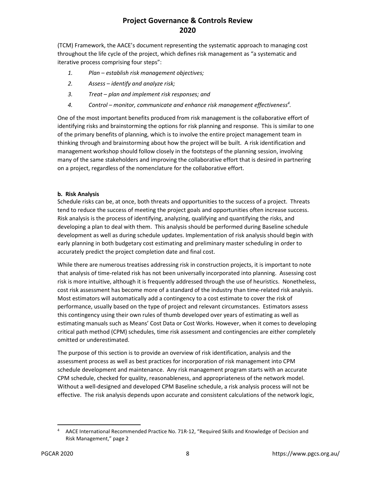(TCM) Framework, the AACE's document representing the systematic approach to managing cost throughout the life cycle of the project, which defines risk management as "a systematic and iterative process comprising four steps":

- *1. Plan establish risk management objectives;*
- *2. Assess identify and analyze risk;*
- *3. Treat plan and implement risk responses; and*
- *4. Control monitor, communicate and enhance risk management effectiveness<sup>4</sup> .*

One of the most important benefits produced from risk management is the collaborative effort of identifying risks and brainstorming the options for risk planning and response. This is similar to one of the primary benefits of planning, which is to involve the entire project management team in thinking through and brainstorming about how the project will be built. A risk identification and management workshop should follow closely in the footsteps of the planning session, involving many of the same stakeholders and improving the collaborative effort that is desired in partnering on a project, regardless of the nomenclature for the collaborative effort.

### **b. Risk Analysis**

Schedule risks can be, at once, both threats and opportunities to the success of a project. Threats tend to reduce the success of meeting the project goals and opportunities often increase success. Risk analysis is the process of identifying, analyzing, qualifying and quantifying the risks, and developing a plan to deal with them. This analysis should be performed during Baseline schedule development as well as during schedule updates. Implementation of risk analysis should begin with early planning in both budgetary cost estimating and preliminary master scheduling in order to accurately predict the project completion date and final cost.

While there are numerous treatises addressing risk in construction projects, it is important to note that analysis of time-related risk has not been universally incorporated into planning. Assessing cost risk is more intuitive, although it is frequently addressed through the use of heuristics. Nonetheless, cost risk assessment has become more of a standard of the industry than time-related risk analysis. Most estimators will automatically add a contingency to a cost estimate to cover the risk of performance, usually based on the type of project and relevant circumstances. Estimators assess this contingency using their own rules of thumb developed over years of estimating as well as estimating manuals such as Means' Cost Data or Cost Works. However, when it comes to developing critical path method (CPM) schedules, time risk assessment and contingencies are either completely omitted or underestimated.

The purpose of this section is to provide an overview of risk identification, analysis and the assessment process as well as best practices for incorporation of risk management into CPM schedule development and maintenance. Any risk management program starts with an accurate CPM schedule, checked for quality, reasonableness, and appropriateness of the network model. Without a well-designed and developed CPM Baseline schedule, a risk analysis process will not be effective. The risk analysis depends upon accurate and consistent calculations of the network logic,

<sup>4</sup> AACE International Recommended Practice No. 71R-12, "Required Skills and Knowledge of Decision and Risk Management," page 2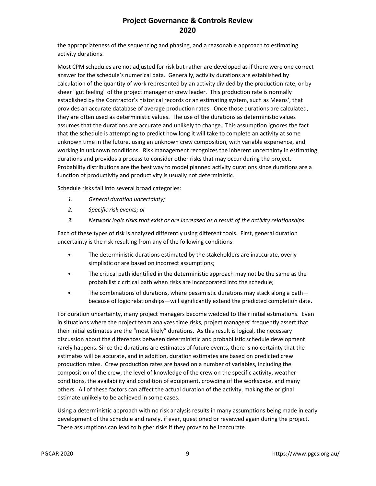the appropriateness of the sequencing and phasing, and a reasonable approach to estimating activity durations.

Most CPM schedules are not adjusted for risk but rather are developed as if there were one correct answer for the schedule's numerical data. Generally, activity durations are established by calculation of the quantity of work represented by an activity divided by the production rate, or by sheer "gut feeling" of the project manager or crew leader. This production rate is normally established by the Contractor's historical records or an estimating system, such as Means', that provides an accurate database of average production rates. Once those durations are calculated, they are often used as deterministic values. The use of the durations as deterministic values assumes that the durations are accurate and unlikely to change. This assumption ignores the fact that the schedule is attempting to predict how long it will take to complete an activity at some unknown time in the future, using an unknown crew composition, with variable experience, and working in unknown conditions. Risk management recognizes the inherent uncertainty in estimating durations and provides a process to consider other risks that may occur during the project. Probability distributions are the best way to model planned activity durations since durations are a function of productivity and productivity is usually not deterministic.

Schedule risks fall into several broad categories:

- *1. General duration uncertainty;*
- *2. Specific risk events; or*
- *3. Network logic risks that exist or are increased as a result of the activity relationships.*

Each of these types of risk is analyzed differently using different tools. First, general duration uncertainty is the risk resulting from any of the following conditions:

- The deterministic durations estimated by the stakeholders are inaccurate, overly simplistic or are based on incorrect assumptions;
- The critical path identified in the deterministic approach may not be the same as the probabilistic critical path when risks are incorporated into the schedule;
- The combinations of durations, where pessimistic durations may stack along a path because of logic relationships—will significantly extend the predicted completion date.

For duration uncertainty, many project managers become wedded to their initial estimations. Even in situations where the project team analyzes time risks, project managers' frequently assert that their initial estimates are the "most likely" durations. As this result is logical, the necessary discussion about the differences between deterministic and probabilistic schedule development rarely happens. Since the durations are estimates of future events, there is no certainty that the estimates will be accurate, and in addition, duration estimates are based on predicted crew production rates. Crew production rates are based on a number of variables, including the composition of the crew, the level of knowledge of the crew on the specific activity, weather conditions, the availability and condition of equipment, crowding of the workspace, and many others. All of these factors can affect the actual duration of the activity, making the original estimate unlikely to be achieved in some cases.

Using a deterministic approach with no risk analysis results in many assumptions being made in early development of the schedule and rarely, if ever, questioned or reviewed again during the project. These assumptions can lead to higher risks if they prove to be inaccurate.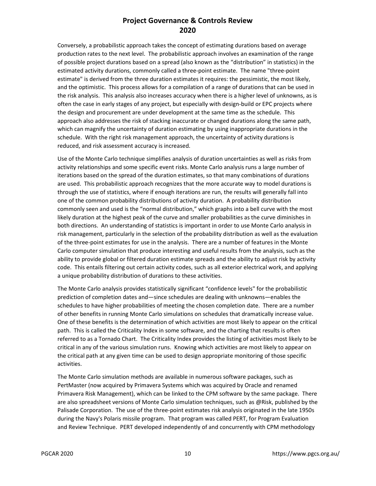Conversely, a probabilistic approach takes the concept of estimating durations based on average production rates to the next level. The probabilistic approach involves an examination of the range of possible project durations based on a spread (also known as the "distribution" in statistics) in the estimated activity durations, commonly called a three-point estimate. The name "three-point estimate" is derived from the three duration estimates it requires: the pessimistic, the most likely, and the optimistic. This process allows for a compilation of a range of durations that can be used in the risk analysis. This analysis also increases accuracy when there is a higher level of unknowns, as is often the case in early stages of any project, but especially with design-build or EPC projects where the design and procurement are under development at the same time as the schedule. This approach also addresses the risk of stacking inaccurate or changed durations along the same path, which can magnify the uncertainty of duration estimating by using inappropriate durations in the schedule. With the right risk management approach, the uncertainty of activity durations is reduced, and risk assessment accuracy is increased.

Use of the Monte Carlo technique simplifies analysis of duration uncertainties as well as risks from activity relationships and some specific event risks. Monte Carlo analysis runs a large number of iterations based on the spread of the duration estimates, so that many combinations of durations are used. This probabilistic approach recognizes that the more accurate way to model durations is through the use of statistics, where if enough iterations are run, the results will generally fall into one of the common probability distributions of activity duration. A probability distribution commonly seen and used is the "normal distribution," which graphs into a bell curve with the most likely duration at the highest peak of the curve and smaller probabilities as the curve diminishes in both directions. An understanding of statistics is important in order to use Monte Carlo analysis in risk management, particularly in the selection of the probability distribution as well as the evaluation of the three-point estimates for use in the analysis. There are a number of features in the Monte Carlo computer simulation that produce interesting and useful results from the analysis, such as the ability to provide global or filtered duration estimate spreads and the ability to adjust risk by activity code. This entails filtering out certain activity codes, such as all exterior electrical work, and applying a unique probability distribution of durations to these activities.

The Monte Carlo analysis provides statistically significant "confidence levels" for the probabilistic prediction of completion dates and—since schedules are dealing with unknowns—enables the schedules to have higher probabilities of meeting the chosen completion date. There are a number of other benefits in running Monte Carlo simulations on schedules that dramatically increase value. One of these benefits is the determination of which activities are most likely to appear on the critical path. This is called the Criticality Index in some software, and the charting that results is often referred to as a Tornado Chart. The Criticality Index provides the listing of activities most likely to be critical in any of the various simulation runs. Knowing which activities are most likely to appear on the critical path at any given time can be used to design appropriate monitoring of those specific activities.

The Monte Carlo simulation methods are available in numerous software packages, such as PertMaster (now acquired by Primavera Systems which was acquired by Oracle and renamed Primavera Risk Management), which can be linked to the CPM software by the same package. There are also spreadsheet versions of Monte Carlo simulation techniques, such as @Risk, published by the Palisade Corporation. The use of the three-point estimates risk analysis originated in the late 1950s during the Navy's Polaris missile program. That program was called PERT, for Program Evaluation and Review Technique. PERT developed independently of and concurrently with CPM methodology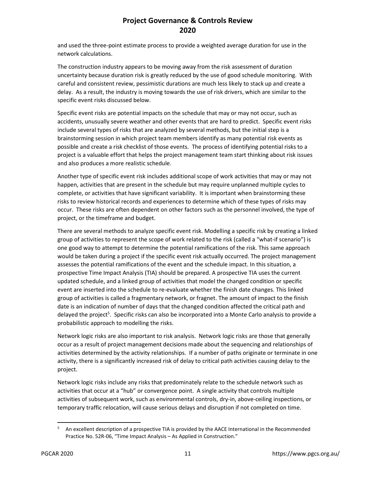and used the three-point estimate process to provide a weighted average duration for use in the network calculations.

The construction industry appears to be moving away from the risk assessment of duration uncertainty because duration risk is greatly reduced by the use of good schedule monitoring. With careful and consistent review, pessimistic durations are much less likely to stack up and create a delay. As a result, the industry is moving towards the use of risk drivers, which are similar to the specific event risks discussed below.

Specific event risks are potential impacts on the schedule that may or may not occur, such as accidents, unusually severe weather and other events that are hard to predict. Specific event risks include several types of risks that are analyzed by several methods, but the initial step is a brainstorming session in which project team members identify as many potential risk events as possible and create a risk checklist of those events. The process of identifying potential risks to a project is a valuable effort that helps the project management team start thinking about risk issues and also produces a more realistic schedule.

Another type of specific event risk includes additional scope of work activities that may or may not happen, activities that are present in the schedule but may require unplanned multiple cycles to complete, or activities that have significant variability. It is important when brainstorming these risks to review historical records and experiences to determine which of these types of risks may occur. These risks are often dependent on other factors such as the personnel involved, the type of project, or the timeframe and budget.

There are several methods to analyze specific event risk. Modelling a specific risk by creating a linked group of activities to represent the scope of work related to the risk (called a "what-if scenario") is one good way to attempt to determine the potential ramifications of the risk. This same approach would be taken during a project if the specific event risk actually occurred. The project management assesses the potential ramifications of the event and the schedule impact. In this situation, a prospective Time Impact Analysis (TIA) should be prepared. A prospective TIA uses the current updated schedule, and a linked group of activities that model the changed condition or specific event are inserted into the schedule to re-evaluate whether the finish date changes. This linked group of activities is called a fragmentary network, or fragnet. The amount of impact to the finish date is an indication of number of days that the changed condition affected the critical path and delayed the project<sup>5</sup>. Specific risks can also be incorporated into a Monte Carlo analysis to provide a probabilistic approach to modelling the risks.

Network logic risks are also important to risk analysis. Network logic risks are those that generally occur as a result of project management decisions made about the sequencing and relationships of activities determined by the activity relationships. If a number of paths originate or terminate in one activity, there is a significantly increased risk of delay to critical path activities causing delay to the project.

Network logic risks include any risks that predominately relate to the schedule network such as activities that occur at a "hub" or convergence point. A single activity that controls multiple activities of subsequent work, such as environmental controls, dry-in, above-ceiling inspections, or temporary traffic relocation, will cause serious delays and disruption if not completed on time.

<sup>5</sup> An excellent description of a prospective TIA is provided by the AACE International in the Recommended Practice No. 52R-06, "Time Impact Analysis – As Applied in Construction."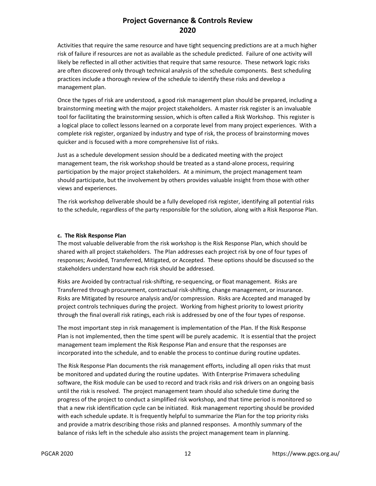Activities that require the same resource and have tight sequencing predictions are at a much higher risk of failure if resources are not as available as the schedule predicted. Failure of one activity will likely be reflected in all other activities that require that same resource. These network logic risks are often discovered only through technical analysis of the schedule components. Best scheduling practices include a thorough review of the schedule to identify these risks and develop a management plan.

Once the types of risk are understood, a good risk management plan should be prepared, including a brainstorming meeting with the major project stakeholders. A master risk register is an invaluable tool for facilitating the brainstorming session, which is often called a Risk Workshop. This register is a logical place to collect lessons learned on a corporate level from many project experiences. With a complete risk register, organized by industry and type of risk, the process of brainstorming moves quicker and is focused with a more comprehensive list of risks.

Just as a schedule development session should be a dedicated meeting with the project management team, the risk workshop should be treated as a stand-alone process, requiring participation by the major project stakeholders. At a minimum, the project management team should participate, but the involvement by others provides valuable insight from those with other views and experiences.

The risk workshop deliverable should be a fully developed risk register, identifying all potential risks to the schedule, regardless of the party responsible for the solution, along with a Risk Response Plan.

#### **c. The Risk Response Plan**

The most valuable deliverable from the risk workshop is the Risk Response Plan, which should be shared with all project stakeholders. The Plan addresses each project risk by one of four types of responses; Avoided, Transferred, Mitigated, or Accepted. These options should be discussed so the stakeholders understand how each risk should be addressed.

Risks are Avoided by contractual risk-shifting, re-sequencing, or float management. Risks are Transferred through procurement, contractual risk-shifting, change management, or insurance. Risks are Mitigated by resource analysis and/or compression. Risks are Accepted and managed by project controls techniques during the project. Working from highest priority to lowest priority through the final overall risk ratings, each risk is addressed by one of the four types of response.

The most important step in risk management is implementation of the Plan. If the Risk Response Plan is not implemented, then the time spent will be purely academic. It is essential that the project management team implement the Risk Response Plan and ensure that the responses are incorporated into the schedule, and to enable the process to continue during routine updates.

The Risk Response Plan documents the risk management efforts, including all open risks that must be monitored and updated during the routine updates. With Enterprise Primavera scheduling software, the Risk module can be used to record and track risks and risk drivers on an ongoing basis until the risk is resolved. The project management team should also schedule time during the progress of the project to conduct a simplified risk workshop, and that time period is monitored so that a new risk identification cycle can be initiated. Risk management reporting should be provided with each schedule update. It is frequently helpful to summarize the Plan for the top priority risks and provide a matrix describing those risks and planned responses. A monthly summary of the balance of risks left in the schedule also assists the project management team in planning.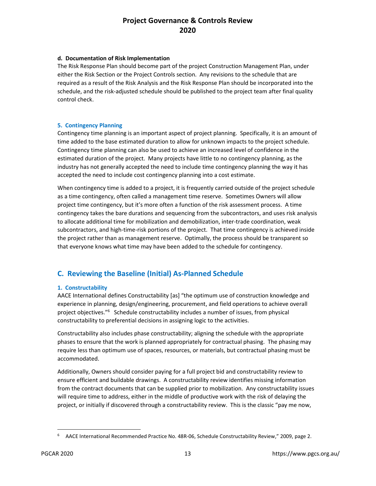#### **d. Documentation of Risk Implementation**

The Risk Response Plan should become part of the project Construction Management Plan, under either the Risk Section or the Project Controls section. Any revisions to the schedule that are required as a result of the Risk Analysis and the Risk Response Plan should be incorporated into the schedule, and the risk-adjusted schedule should be published to the project team after final quality control check.

### **5. Contingency Planning**

Contingency time planning is an important aspect of project planning. Specifically, it is an amount of time added to the base estimated duration to allow for unknown impacts to the project schedule. Contingency time planning can also be used to achieve an increased level of confidence in the estimated duration of the project. Many projects have little to no contingency planning, as the industry has not generally accepted the need to include time contingency planning the way it has accepted the need to include cost contingency planning into a cost estimate.

When contingency time is added to a project, it is frequently carried outside of the project schedule as a time contingency, often called a management time reserve. Sometimes Owners will allow project time contingency, but it's more often a function of the risk assessment process. A time contingency takes the bare durations and sequencing from the subcontractors, and uses risk analysis to allocate additional time for mobilization and demobilization, inter-trade coordination, weak subcontractors, and high-time-risk portions of the project. That time contingency is achieved inside the project rather than as management reserve. Optimally, the process should be transparent so that everyone knows what time may have been added to the schedule for contingency.

### **C. Reviewing the Baseline (Initial) As-Planned Schedule**

### **1. Constructability**

AACE International defines Constructability [as] "the optimum use of construction knowledge and experience in planning, design/engineering, procurement, and field operations to achieve overall project objectives."<sup>6</sup> Schedule constructability includes a number of issues, from physical constructability to preferential decisions in assigning logic to the activities.

Constructability also includes phase constructability; aligning the schedule with the appropriate phases to ensure that the work is planned appropriately for contractual phasing. The phasing may require less than optimum use of spaces, resources, or materials, but contractual phasing must be accommodated.

Additionally, Owners should consider paying for a full project bid and constructability review to ensure efficient and buildable drawings. A constructability review identifies missing information from the contract documents that can be supplied prior to mobilization. Any constructability issues will require time to address, either in the middle of productive work with the risk of delaying the project, or initially if discovered through a constructability review. This is the classic "pay me now,

<sup>6</sup> AACE International Recommended Practice No. 48R-06, Schedule Constructability Review," 2009, page 2.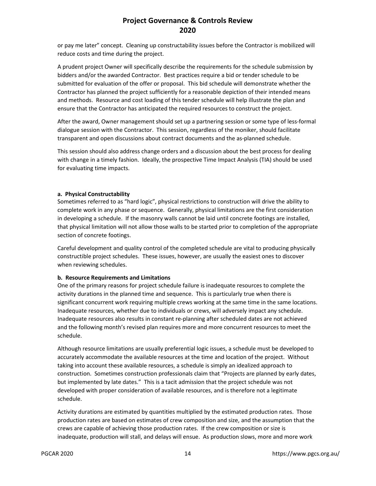or pay me later" concept. Cleaning up constructability issues before the Contractor is mobilized will reduce costs and time during the project.

A prudent project Owner will specifically describe the requirements for the schedule submission by bidders and/or the awarded Contractor. Best practices require a bid or tender schedule to be submitted for evaluation of the offer or proposal. This bid schedule will demonstrate whether the Contractor has planned the project sufficiently for a reasonable depiction of their intended means and methods. Resource and cost loading of this tender schedule will help illustrate the plan and ensure that the Contractor has anticipated the required resources to construct the project.

After the award, Owner management should set up a partnering session or some type of less-formal dialogue session with the Contractor. This session, regardless of the moniker, should facilitate transparent and open discussions about contract documents and the as-planned schedule.

This session should also address change orders and a discussion about the best process for dealing with change in a timely fashion. Ideally, the prospective Time Impact Analysis (TIA) should be used for evaluating time impacts.

### **a. Physical Constructability**

Sometimes referred to as "hard logic", physical restrictions to construction will drive the ability to complete work in any phase or sequence. Generally, physical limitations are the first consideration in developing a schedule. If the masonry walls cannot be laid until concrete footings are installed, that physical limitation will not allow those walls to be started prior to completion of the appropriate section of concrete footings.

Careful development and quality control of the completed schedule are vital to producing physically constructible project schedules. These issues, however, are usually the easiest ones to discover when reviewing schedules.

### **b. Resource Requirements and Limitations**

One of the primary reasons for project schedule failure is inadequate resources to complete the activity durations in the planned time and sequence. This is particularly true when there is significant concurrent work requiring multiple crews working at the same time in the same locations. Inadequate resources, whether due to individuals or crews, will adversely impact any schedule. Inadequate resources also results in constant re-planning after scheduled dates are not achieved and the following month's revised plan requires more and more concurrent resources to meet the schedule.

Although resource limitations are usually preferential logic issues, a schedule must be developed to accurately accommodate the available resources at the time and location of the project. Without taking into account these available resources, a schedule is simply an idealized approach to construction. Sometimes construction professionals claim that "Projects are planned by early dates, but implemented by late dates." This is a tacit admission that the project schedule was not developed with proper consideration of available resources, and is therefore not a legitimate schedule.

Activity durations are estimated by quantities multiplied by the estimated production rates. Those production rates are based on estimates of crew composition and size, and the assumption that the crews are capable of achieving those production rates. If the crew composition or size is inadequate, production will stall, and delays will ensue. As production slows, more and more work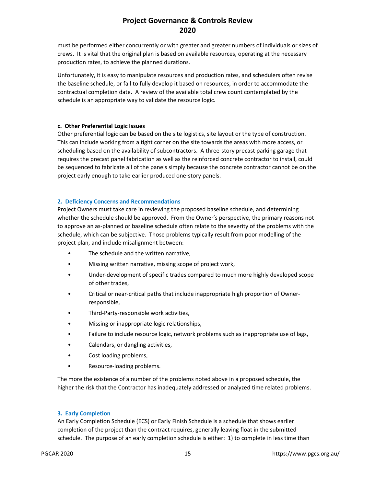must be performed either concurrently or with greater and greater numbers of individuals or sizes of crews. It is vital that the original plan is based on available resources, operating at the necessary production rates, to achieve the planned durations.

Unfortunately, it is easy to manipulate resources and production rates, and schedulers often revise the baseline schedule, or fail to fully develop it based on resources, in order to accommodate the contractual completion date. A review of the available total crew count contemplated by the schedule is an appropriate way to validate the resource logic.

#### **c. Other Preferential Logic Issues**

Other preferential logic can be based on the site logistics, site layout or the type of construction. This can include working from a tight corner on the site towards the areas with more access, or scheduling based on the availability of subcontractors. A three-story precast parking garage that requires the precast panel fabrication as well as the reinforced concrete contractor to install, could be sequenced to fabricate all of the panels simply because the concrete contractor cannot be on the project early enough to take earlier produced one-story panels.

#### **2. Deficiency Concerns and Recommendations**

Project Owners must take care in reviewing the proposed baseline schedule, and determining whether the schedule should be approved. From the Owner's perspective, the primary reasons not to approve an as-planned or baseline schedule often relate to the severity of the problems with the schedule, which can be subjective. Those problems typically result from poor modelling of the project plan, and include misalignment between:

- The schedule and the written narrative,
- Missing written narrative, missing scope of project work,
- Under-development of specific trades compared to much more highly developed scope of other trades,
- Critical or near-critical paths that include inappropriate high proportion of Ownerresponsible,
- Third-Party-responsible work activities,
- Missing or inappropriate logic relationships,
- Failure to include resource logic, network problems such as inappropriate use of lags,
- Calendars, or dangling activities,
- Cost loading problems,
- Resource-loading problems.

The more the existence of a number of the problems noted above in a proposed schedule, the higher the risk that the Contractor has inadequately addressed or analyzed time related problems.

### **3. Early Completion**

An Early Completion Schedule (ECS) or Early Finish Schedule is a schedule that shows earlier completion of the project than the contract requires, generally leaving float in the submitted schedule. The purpose of an early completion schedule is either: 1) to complete in less time than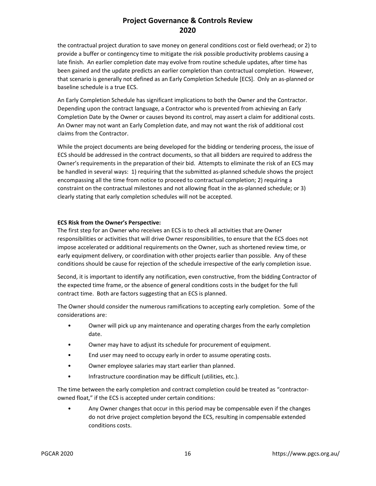the contractual project duration to save money on general conditions cost or field overhead; or 2) to provide a buffer or contingency time to mitigate the risk possible productivity problems causing a late finish. An earlier completion date may evolve from routine schedule updates, after time has been gained and the update predicts an earlier completion than contractual completion. However, that scenario is generally not defined as an Early Completion Schedule [ECS]. Only an as-planned or baseline schedule is a true ECS.

An Early Completion Schedule has significant implications to both the Owner and the Contractor. Depending upon the contract language, a Contractor who is prevented from achieving an Early Completion Date by the Owner or causes beyond its control, may assert a claim for additional costs. An Owner may not want an Early Completion date, and may not want the risk of additional cost claims from the Contractor.

While the project documents are being developed for the bidding or tendering process, the issue of ECS should be addressed in the contract documents, so that all bidders are required to address the Owner's requirements in the preparation of their bid. Attempts to eliminate the risk of an ECS may be handled in several ways: 1) requiring that the submitted as-planned schedule shows the project encompassing all the time from notice to proceed to contractual completion; 2) requiring a constraint on the contractual milestones and not allowing float in the as-planned schedule; or 3) clearly stating that early completion schedules will not be accepted.

#### **ECS Risk from the Owner's Perspective:**

The first step for an Owner who receives an ECS is to check all activities that are Owner responsibilities or activities that will drive Owner responsibilities, to ensure that the ECS does not impose accelerated or additional requirements on the Owner, such as shortened review time, or early equipment delivery, or coordination with other projects earlier than possible. Any of these conditions should be cause for rejection of the schedule irrespective of the early completion issue.

Second, it is important to identify any notification, even constructive, from the bidding Contractor of the expected time frame, or the absence of general conditions costs in the budget for the full contract time. Both are factors suggesting that an ECS is planned.

The Owner should consider the numerous ramifications to accepting early completion. Some of the considerations are:

- Owner will pick up any maintenance and operating charges from the early completion date.
- Owner may have to adjust its schedule for procurement of equipment.
- End user may need to occupy early in order to assume operating costs.
- Owner employee salaries may start earlier than planned.
- Infrastructure coordination may be difficult (utilities, etc.).

The time between the early completion and contract completion could be treated as "contractorowned float," if the ECS is accepted under certain conditions:

• Any Owner changes that occur in this period may be compensable even if the changes do not drive project completion beyond the ECS, resulting in compensable extended conditions costs.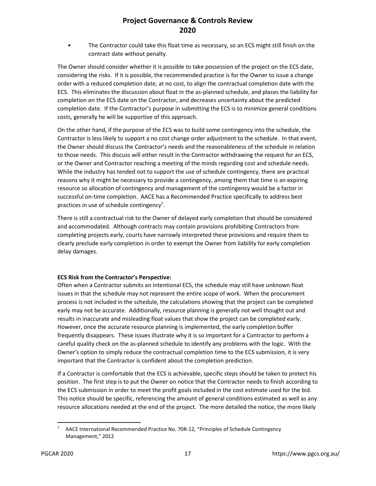• The Contractor could take this float time as necessary, so an ECS might still finish on the contract date without penalty.

The Owner should consider whether it is possible to take possession of the project on the ECS date, considering the risks. If it is possible, the recommended practice is for the Owner to issue a change order with a reduced completion date, at no cost, to align the contractual completion date with the ECS. This eliminates the discussion about float in the as-planned schedule, and places the liability for completion on the ECS date on the Contractor, and decreases uncertainty about the predicted completion date. If the Contractor's purpose in submitting the ECS is to minimize general conditions costs, generally he will be supportive of this approach.

On the other hand, if the purpose of the ECS was to build some contingency into the schedule, the Contractor is less likely to support a no cost change order adjustment to the schedule. In that event, the Owner should discuss the Contractor's needs and the reasonableness of the schedule in relation to those needs. This discuss will either result in the Contractor withdrawing the request for an ECS, or the Owner and Contractor reaching a meeting of the minds regarding cost and schedule needs. While the industry has tended not to support the use of schedule contingency, there are practical reasons why it might be necessary to provide a contingency, among them that time is an expiring resource so allocation of contingency and management of the contingency would be a factor in successful on-time completion. AACE has a Recommended Practice specifically to address best practices in use of schedule contingency<sup>7</sup>.

There is still a contractual risk to the Owner of delayed early completion that should be considered and accommodated. Although contracts may contain provisions prohibiting Contractors from completing projects early, courts have narrowly interpreted these provisions and require them to clearly preclude early completion in order to exempt the Owner from liability for early completion delay damages.

#### **ECS Risk from the Contractor's Perspective:**

Often when a Contractor submits an intentional ECS, the schedule may still have unknown float issues in that the schedule may not represent the entire scope of work. When the procurement process is not included in the schedule, the calculations showing that the project can be completed early may not be accurate. Additionally, resource planning is generally not well thought out and results in inaccurate and misleading float values that show the project can be completed early. However, once the accurate resource planning is implemented, the early completion buffer frequently disappears. These issues illustrate why it is so important for a Contractor to perform a careful quality check on the as-planned schedule to identify any problems with the logic. With the Owner's option to simply reduce the contractual completion time to the ECS submission, it is very important that the Contractor is confident about the completion prediction.

If a Contractor is comfortable that the ECS is achievable, specific steps should be taken to protect his position. The first step is to put the Owner on notice that the Contractor needs to finish according to the ECS submission in order to meet the profit goals included in the cost estimate used for the bid. This notice should be specific, referencing the amount of general conditions estimated as well as any resource allocations needed at the end of the project. The more detailed the notice, the more likely

<sup>7</sup> AACE International Recommended Practice No. 70R-12, "Principles of Schedule Contingency Management," 2012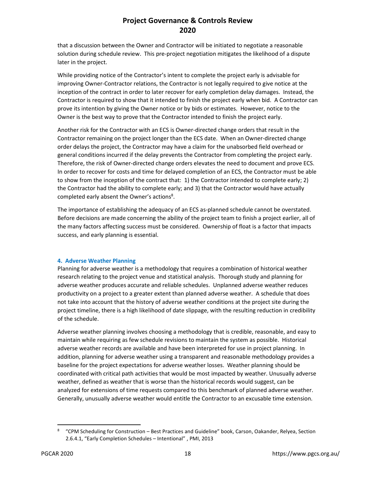that a discussion between the Owner and Contractor will be initiated to negotiate a reasonable solution during schedule review. This pre-project negotiation mitigates the likelihood of a dispute later in the project.

While providing notice of the Contractor's intent to complete the project early is advisable for improving Owner-Contractor relations, the Contractor is not legally required to give notice at the inception of the contract in order to later recover for early completion delay damages. Instead, the Contractor is required to show that it intended to finish the project early when bid. A Contractor can prove its intention by giving the Owner notice or by bids or estimates. However, notice to the Owner is the best way to prove that the Contractor intended to finish the project early.

Another risk for the Contractor with an ECS is Owner-directed change orders that result in the Contractor remaining on the project longer than the ECS date. When an Owner-directed change order delays the project, the Contractor may have a claim for the unabsorbed field overhead or general conditions incurred if the delay prevents the Contractor from completing the project early. Therefore, the risk of Owner-directed change orders elevates the need to document and prove ECS. In order to recover for costs and time for delayed completion of an ECS, the Contractor must be able to show from the inception of the contract that: 1) the Contractor intended to complete early; 2) the Contractor had the ability to complete early; and 3) that the Contractor would have actually completed early absent the Owner's actions<sup>8</sup>.

The importance of establishing the adequacy of an ECS as-planned schedule cannot be overstated. Before decisions are made concerning the ability of the project team to finish a project earlier, all of the many factors affecting success must be considered. Ownership of float is a factor that impacts success, and early planning is essential.

#### **4. Adverse Weather Planning**

Planning for adverse weather is a methodology that requires a combination of historical weather research relating to the project venue and statistical analysis. Thorough study and planning for adverse weather produces accurate and reliable schedules. Unplanned adverse weather reduces productivity on a project to a greater extent than planned adverse weather. A schedule that does not take into account that the history of adverse weather conditions at the project site during the project timeline, there is a high likelihood of date slippage, with the resulting reduction in credibility of the schedule.

Adverse weather planning involves choosing a methodology that is credible, reasonable, and easy to maintain while requiring as few schedule revisions to maintain the system as possible. Historical adverse weather records are available and have been interpreted for use in project planning. In addition, planning for adverse weather using a transparent and reasonable methodology provides a baseline for the project expectations for adverse weather losses. Weather planning should be coordinated with critical path activities that would be most impacted by weather. Unusually adverse weather, defined as weather that is worse than the historical records would suggest, can be analyzed for extensions of time requests compared to this benchmark of planned adverse weather. Generally, unusually adverse weather would entitle the Contractor to an excusable time extension.

<sup>8</sup> "CPM Scheduling for Construction – Best Practices and Guideline" book, Carson, Oakander, Relyea, Section 2.6.4.1, "Early Completion Schedules – Intentional" , PMI, 2013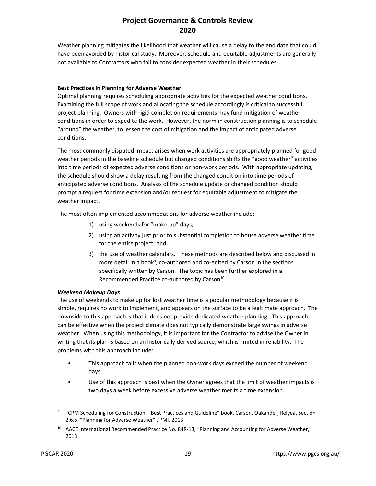Weather planning mitigates the likelihood that weather will cause a delay to the end date that could have been avoided by historical study. Moreover, schedule and equitable adjustments are generally not available to Contractors who fail to consider expected weather in their schedules.

### **Best Practices in Planning for Adverse Weather**

Optimal planning requires scheduling appropriate activities for the expected weather conditions. Examining the full scope of work and allocating the schedule accordingly is critical to successful project planning. Owners with rigid completion requirements may fund mitigation of weather conditions in order to expedite the work. However, the norm in construction planning is to schedule "around" the weather, to lessen the cost of mitigation and the impact of anticipated adverse conditions.

The most commonly disputed impact arises when work activities are appropriately planned for good weather periods in the baseline schedule but changed conditions shifts the "good weather" activities into time periods of expected adverse conditions or non-work periods. With appropriate updating, the schedule should show a delay resulting from the changed condition into time periods of anticipated adverse conditions. Analysis of the schedule update or changed condition should prompt a request for time extension and/or request for equitable adjustment to mitigate the weather impact.

The most often implemented accommodations for adverse weather include:

- 1) using weekends for "make-up" days;
- 2) using an activity just prior to substantial completion to house adverse weather time for the entire project; and
- 3) the use of weather calendars. These methods are described below and discussed in more detail in a book<sup>9</sup>, co-authored and co-edited by Carson in the sections specifically written by Carson. The topic has been further explored in a Recommended Practice co-authored by Carson<sup>10</sup>.

#### *Weekend Makeup Days*

The use of weekends to make up for lost weather time is a popular methodology because it is simple, requires no work to implement, and appears on the surface to be a legitimate approach. The downside to this approach is that it does not provide dedicated weather planning. This approach can be effective when the project climate does not typically demonstrate large swings in adverse weather. When using this methodology, it is important for the Contractor to advise the Owner in writing that its plan is based on an historically derived source, which is limited in reliability. The problems with this approach include:

- This approach fails when the planned non-work days exceed the number of weekend days.
- Use of this approach is best when the Owner agrees that the limit of weather impacts is two days a week before excessive adverse weather merits a time extension.

<sup>&</sup>lt;sup>9</sup> "CPM Scheduling for Construction – Best Practices and Guideline" book, Carson, Oakander, Relyea, Section 2.6.5, "Planning for Adverse Weather" , PMI, 2013

<sup>&</sup>lt;sup>10</sup> AACE International Recommended Practice No. 84R-13, "Planning and Accounting for Adverse Weather," 2013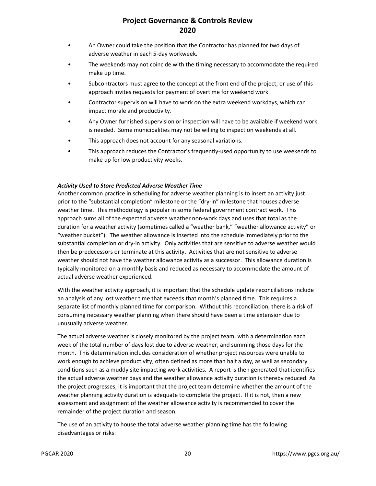- An Owner could take the position that the Contractor has planned for two days of adverse weather in each 5-day workweek.
- The weekends may not coincide with the timing necessary to accommodate the required make up time.
- Subcontractors must agree to the concept at the front end of the project, or use of this approach invites requests for payment of overtime for weekend work.
- Contractor supervision will have to work on the extra weekend workdays, which can impact morale and productivity.
- Any Owner furnished supervision or inspection will have to be available if weekend work is needed. Some municipalities may not be willing to inspect on weekends at all.
- This approach does not account for any seasonal variations.
- This approach reduces the Contractor's frequently-used opportunity to use weekends to make up for low productivity weeks.

#### *Activity Used to Store Predicted Adverse Weather Time*

Another common practice in scheduling for adverse weather planning is to insert an activity just prior to the "substantial completion" milestone or the "dry-in" milestone that houses adverse weather time. This methodology is popular in some federal government contract work. This approach sums all of the expected adverse weather non-work days and uses that total as the duration for a weather activity (sometimes called a "weather bank," "weather allowance activity" or "weather bucket"). The weather allowance is inserted into the schedule immediately prior to the substantial completion or dry-in activity. Only activities that are sensitive to adverse weather would then be predecessors or terminate at this activity. Activities that are not sensitive to adverse weather should not have the weather allowance activity as a successor. This allowance duration is typically monitored on a monthly basis and reduced as necessary to accommodate the amount of actual adverse weather experienced.

With the weather activity approach, it is important that the schedule update reconciliations include an analysis of any lost weather time that exceeds that month's planned time. This requires a separate list of monthly planned time for comparison. Without this reconciliation, there is a risk of consuming necessary weather planning when there should have been a time extension due to unusually adverse weather.

The actual adverse weather is closely monitored by the project team, with a determination each week of the total number of days lost due to adverse weather, and summing those days for the month. This determination includes consideration of whether project resources were unable to work enough to achieve productivity, often defined as more than half a day, as well as secondary conditions such as a muddy site impacting work activities. A report is then generated that identifies the actual adverse weather days and the weather allowance activity duration is thereby reduced. As the project progresses, it is important that the project team determine whether the amount of the weather planning activity duration is adequate to complete the project. If it is not, then a new assessment and assignment of the weather allowance activity is recommended to cover the remainder of the project duration and season.

The use of an activity to house the total adverse weather planning time has the following disadvantages or risks: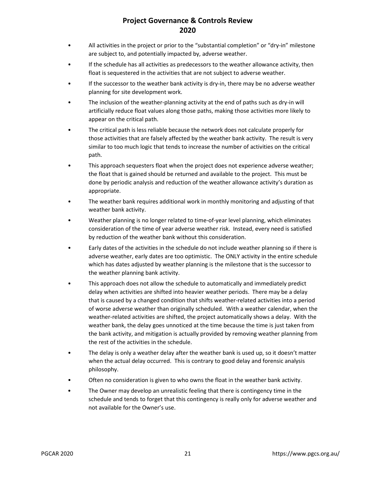- All activities in the project or prior to the "substantial completion" or "dry-in" milestone are subject to, and potentially impacted by, adverse weather.
- If the schedule has all activities as predecessors to the weather allowance activity, then float is sequestered in the activities that are not subject to adverse weather.
- If the successor to the weather bank activity is dry-in, there may be no adverse weather planning for site development work.
- The inclusion of the weather-planning activity at the end of paths such as dry-in will artificially reduce float values along those paths, making those activities more likely to appear on the critical path.
- The critical path is less reliable because the network does not calculate properly for those activities that are falsely affected by the weather bank activity. The result is very similar to too much logic that tends to increase the number of activities on the critical path.
- This approach sequesters float when the project does not experience adverse weather; the float that is gained should be returned and available to the project. This must be done by periodic analysis and reduction of the weather allowance activity's duration as appropriate.
- The weather bank requires additional work in monthly monitoring and adjusting of that weather bank activity.
- Weather planning is no longer related to time-of-year level planning, which eliminates consideration of the time of year adverse weather risk. Instead, every need is satisfied by reduction of the weather bank without this consideration.
- Early dates of the activities in the schedule do not include weather planning so if there is adverse weather, early dates are too optimistic. The ONLY activity in the entire schedule which has dates adjusted by weather planning is the milestone that is the successor to the weather planning bank activity.
- This approach does not allow the schedule to automatically and immediately predict delay when activities are shifted into heavier weather periods. There may be a delay that is caused by a changed condition that shifts weather-related activities into a period of worse adverse weather than originally scheduled. With a weather calendar, when the weather-related activities are shifted, the project automatically shows a delay. With the weather bank, the delay goes unnoticed at the time because the time is just taken from the bank activity, and mitigation is actually provided by removing weather planning from the rest of the activities in the schedule.
- The delay is only a weather delay after the weather bank is used up, so it doesn't matter when the actual delay occurred. This is contrary to good delay and forensic analysis philosophy.
- Often no consideration is given to who owns the float in the weather bank activity.
- The Owner may develop an unrealistic feeling that there is contingency time in the schedule and tends to forget that this contingency is really only for adverse weather and not available for the Owner's use.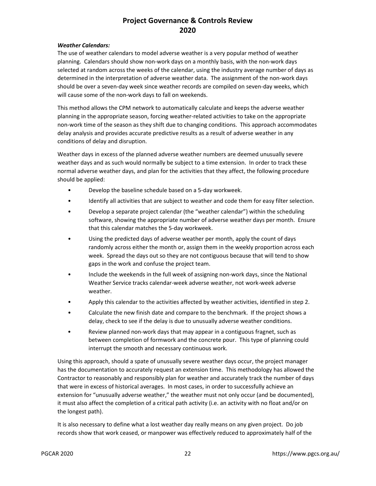#### *Weather Calendars:*

The use of weather calendars to model adverse weather is a very popular method of weather planning. Calendars should show non-work days on a monthly basis, with the non-work days selected at random across the weeks of the calendar, using the industry average number of days as determined in the interpretation of adverse weather data. The assignment of the non-work days should be over a seven-day week since weather records are compiled on seven-day weeks, which will cause some of the non-work days to fall on weekends.

This method allows the CPM network to automatically calculate and keeps the adverse weather planning in the appropriate season, forcing weather-related activities to take on the appropriate non-work time of the season as they shift due to changing conditions. This approach accommodates delay analysis and provides accurate predictive results as a result of adverse weather in any conditions of delay and disruption.

Weather days in excess of the planned adverse weather numbers are deemed unusually severe weather days and as such would normally be subject to a time extension. In order to track these normal adverse weather days, and plan for the activities that they affect, the following procedure should be applied:

- Develop the baseline schedule based on a 5-day workweek.
- Identify all activities that are subject to weather and code them for easy filter selection.
- Develop a separate project calendar (the "weather calendar") within the scheduling software, showing the appropriate number of adverse weather days per month. Ensure that this calendar matches the 5-day workweek.
- Using the predicted days of adverse weather per month, apply the count of days randomly across either the month or, assign them in the weekly proportion across each week. Spread the days out so they are not contiguous because that will tend to show gaps in the work and confuse the project team.
- Include the weekends in the full week of assigning non-work days, since the National Weather Service tracks calendar-week adverse weather, not work-week adverse weather.
- Apply this calendar to the activities affected by weather activities, identified in step 2.
- Calculate the new finish date and compare to the benchmark. If the project shows a delay, check to see if the delay is due to unusually adverse weather conditions.
- Review planned non-work days that may appear in a contiguous fragnet, such as between completion of formwork and the concrete pour. This type of planning could interrupt the smooth and necessary continuous work.

Using this approach, should a spate of unusually severe weather days occur, the project manager has the documentation to accurately request an extension time. This methodology has allowed the Contractor to reasonably and responsibly plan for weather and accurately track the number of days that were in excess of historical averages. In most cases, in order to successfully achieve an extension for "unusually adverse weather," the weather must not only occur (and be documented), it must also affect the completion of a critical path activity (i.e. an activity with no float and/or on the longest path).

It is also necessary to define what a lost weather day really means on any given project. Do job records show that work ceased, or manpower was effectively reduced to approximately half of the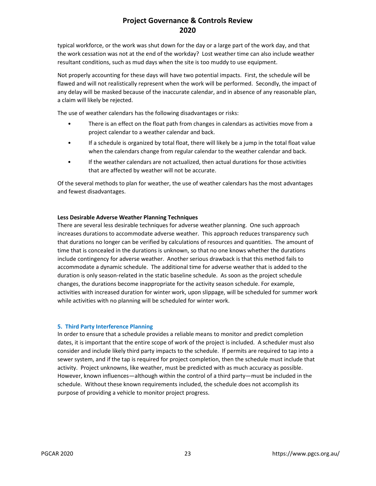typical workforce, or the work was shut down for the day or a large part of the work day, and that the work cessation was not at the end of the workday? Lost weather time can also include weather resultant conditions, such as mud days when the site is too muddy to use equipment.

Not properly accounting for these days will have two potential impacts. First, the schedule will be flawed and will not realistically represent when the work will be performed. Secondly, the impact of any delay will be masked because of the inaccurate calendar, and in absence of any reasonable plan, a claim will likely be rejected.

The use of weather calendars has the following disadvantages or risks:

- There is an effect on the float path from changes in calendars as activities move from a project calendar to a weather calendar and back.
- If a schedule is organized by total float, there will likely be a jump in the total float value when the calendars change from regular calendar to the weather calendar and back.
- If the weather calendars are not actualized, then actual durations for those activities that are affected by weather will not be accurate.

Of the several methods to plan for weather, the use of weather calendars has the most advantages and fewest disadvantages.

### **Less Desirable Adverse Weather Planning Techniques**

There are several less desirable techniques for adverse weather planning. One such approach increases durations to accommodate adverse weather. This approach reduces transparency such that durations no longer can be verified by calculations of resources and quantities. The amount of time that is concealed in the durations is unknown, so that no one knows whether the durations include contingency for adverse weather. Another serious drawback is that this method fails to accommodate a dynamic schedule. The additional time for adverse weather that is added to the duration is only season-related in the static baseline schedule. As soon as the project schedule changes, the durations become inappropriate for the activity season schedule. For example, activities with increased duration for winter work, upon slippage, will be scheduled for summer work while activities with no planning will be scheduled for winter work.

#### **5. Third Party Interference Planning**

In order to ensure that a schedule provides a reliable means to monitor and predict completion dates, it is important that the entire scope of work of the project is included. A scheduler must also consider and include likely third party impacts to the schedule. If permits are required to tap into a sewer system, and if the tap is required for project completion, then the schedule must include that activity. Project unknowns, like weather, must be predicted with as much accuracy as possible. However, known influences—although within the control of a third party—must be included in the schedule. Without these known requirements included, the schedule does not accomplish its purpose of providing a vehicle to monitor project progress.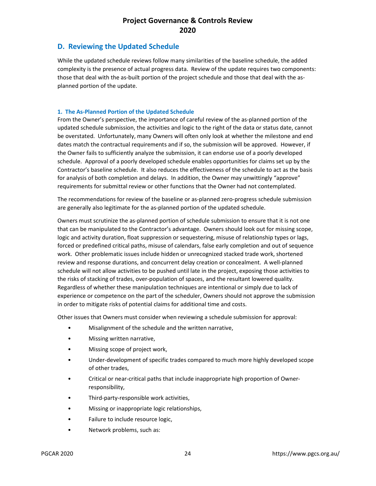### **D. Reviewing the Updated Schedule**

While the updated schedule reviews follow many similarities of the baseline schedule, the added complexity is the presence of actual progress data. Review of the update requires two components: those that deal with the as-built portion of the project schedule and those that deal with the asplanned portion of the update.

#### **1. The As-Planned Portion of the Updated Schedule**

From the Owner's perspective, the importance of careful review of the as-planned portion of the updated schedule submission, the activities and logic to the right of the data or status date, cannot be overstated. Unfortunately, many Owners will often only look at whether the milestone and end dates match the contractual requirements and if so, the submission will be approved. However, if the Owner fails to sufficiently analyze the submission, it can endorse use of a poorly developed schedule. Approval of a poorly developed schedule enables opportunities for claims set up by the Contractor's baseline schedule. It also reduces the effectiveness of the schedule to act as the basis for analysis of both completion and delays. In addition, the Owner may unwittingly "approve" requirements for submittal review or other functions that the Owner had not contemplated.

The recommendations for review of the baseline or as-planned zero-progress schedule submission are generally also legitimate for the as-planned portion of the updated schedule.

Owners must scrutinize the as-planned portion of schedule submission to ensure that it is not one that can be manipulated to the Contractor's advantage. Owners should look out for missing scope, logic and activity duration, float suppression or sequestering, misuse of relationship types or lags, forced or predefined critical paths, misuse of calendars, false early completion and out of sequence work. Other problematic issues include hidden or unrecognized stacked trade work, shortened review and response durations, and concurrent delay creation or concealment. A well-planned schedule will not allow activities to be pushed until late in the project, exposing those activities to the risks of stacking of trades, over-population of spaces, and the resultant lowered quality. Regardless of whether these manipulation techniques are intentional or simply due to lack of experience or competence on the part of the scheduler, Owners should not approve the submission in order to mitigate risks of potential claims for additional time and costs.

Other issues that Owners must consider when reviewing a schedule submission for approval:

- Misalignment of the schedule and the written narrative,
- Missing written narrative,
- Missing scope of project work,
- Under-development of specific trades compared to much more highly developed scope of other trades,
- Critical or near-critical paths that include inappropriate high proportion of Ownerresponsibility,
- Third-party-responsible work activities,
- Missing or inappropriate logic relationships,
- Failure to include resource logic,
- Network problems, such as: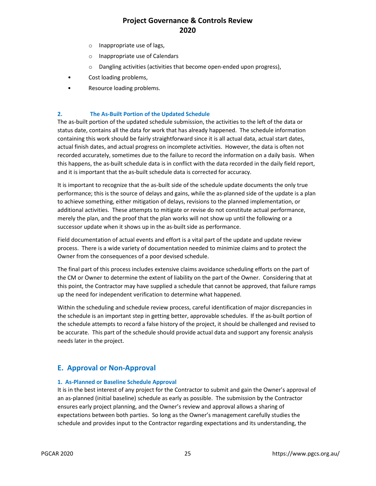- o Inappropriate use of lags,
- o Inappropriate use of Calendars
- o Dangling activities (activities that become open-ended upon progress),
- Cost loading problems,
- Resource loading problems.

#### **2. The As-Built Portion of the Updated Schedule**

The as-built portion of the updated schedule submission, the activities to the left of the data or status date, contains all the data for work that has already happened. The schedule information containing this work should be fairly straightforward since it is all actual data, actual start dates, actual finish dates, and actual progress on incomplete activities. However, the data is often not recorded accurately, sometimes due to the failure to record the information on a daily basis. When this happens, the as-built schedule data is in conflict with the data recorded in the daily field report, and it is important that the as-built schedule data is corrected for accuracy.

It is important to recognize that the as-built side of the schedule update documents the only true performance; this is the source of delays and gains, while the as-planned side of the update is a plan to achieve something, either mitigation of delays, revisions to the planned implementation, or additional activities. These attempts to mitigate or revise do not constitute actual performance, merely the plan, and the proof that the plan works will not show up until the following or a successor update when it shows up in the as-built side as performance.

Field documentation of actual events and effort is a vital part of the update and update review process. There is a wide variety of documentation needed to minimize claims and to protect the Owner from the consequences of a poor devised schedule.

The final part of this process includes extensive claims avoidance scheduling efforts on the part of the CM or Owner to determine the extent of liability on the part of the Owner. Considering that at this point, the Contractor may have supplied a schedule that cannot be approved, that failure ramps up the need for independent verification to determine what happened.

Within the scheduling and schedule review process, careful identification of major discrepancies in the schedule is an important step in getting better, approvable schedules. If the as-built portion of the schedule attempts to record a false history of the project, it should be challenged and revised to be accurate. This part of the schedule should provide actual data and support any forensic analysis needs later in the project.

### **E. Approval or Non-Approval**

#### **1. As-Planned or Baseline Schedule Approval**

It is in the best interest of any project for the Contractor to submit and gain the Owner's approval of an as-planned (initial baseline) schedule as early as possible. The submission by the Contractor ensures early project planning, and the Owner's review and approval allows a sharing of expectations between both parties. So long as the Owner's management carefully studies the schedule and provides input to the Contractor regarding expectations and its understanding, the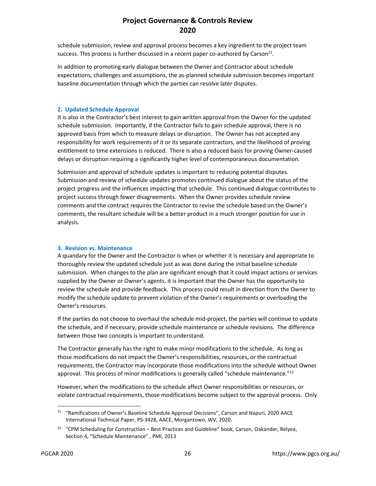schedule submission, review and approval process becomes a key ingredient to the project team success. This process is further discussed in a recent paper co-authored by Carson<sup>11</sup>.

In addition to promoting early dialogue between the Owner and Contractor about schedule expectations, challenges and assumptions, the as-planned schedule submission becomes important baseline documentation through which the parties can resolve later disputes.

#### **2. Updated Schedule Approval**

It is also in the Contractor's best interest to gain written approval from the Owner for the updated schedule submission. Importantly, if the Contractor fails to gain schedule approval, there is no approved basis from which to measure delays or disruption. The Owner has not accepted any responsibility for work requirements of it or its separate contractors, and the likelihood of proving entitlement to time extensions is reduced. There is also a reduced basis for proving Owner-caused delays or disruption requiring a significantly higher level of contemporaneous documentation.

Submission and approval of schedule updates is important to reducing potential disputes. Submission and review of schedule updates promotes continued dialogue about the status of the project progress and the influences impacting that schedule. This continued dialogue contributes to project success through fewer disagreements. When the Owner provides schedule review comments and the contract requires the Contractor to revise the schedule based on the Owner's comments, the resultant schedule will be a better product in a much stronger position for use in analysis.

### **3. Revision vs. Maintenance**

A quandary for the Owner and the Contractor is when or whether it is necessary and appropriate to thoroughly review the updated schedule just as was done during the initial baseline schedule submission. When changes to the plan are significant enough that it could impact actions or services supplied by the Owner or Owner's agents, it is important that the Owner has the opportunity to review the schedule and provide feedback. This process could result in direction from the Owner to modify the schedule update to prevent violation of the Owner's requirements or overloading the Owner's resources.

If the parties do not choose to overhaul the schedule mid-project, the parties will continue to update the schedule, and if necessary, provide schedule maintenance or schedule revisions. The difference between those two concepts is important to understand.

The Contractor generally has the right to make minor modifications to the schedule. As long as those modifications do not impact the Owner's responsibilities, resources, or the contractual requirements, the Contractor may incorporate those modifications into the schedule without Owner approval. This process of minor modifications is generally called "schedule maintenance."<sup>12</sup>

However, when the modifications to the schedule affect Owner responsibilities or resources, or violate contractual requirements, those modifications become subject to the approval process. Only

<sup>11</sup> "Ramifications of Owner's Baseline Schedule Approval Decisions", Carson and Napuri, 2020 AACE International Technical Paper, PS-3428, AACE, Morgantown, WV, 2020.

<sup>12</sup> "CPM Scheduling for Construction – Best Practices and Guideline" book, Carson, Oakander, Relyea, Section 4, "Schedule Maintenance" , PMI, 2013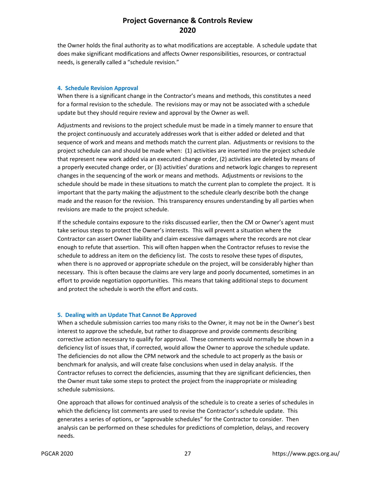the Owner holds the final authority as to what modifications are acceptable. A schedule update that does make significant modifications and affects Owner responsibilities, resources, or contractual needs, is generally called a "schedule revision."

#### **4. Schedule Revision Approval**

When there is a significant change in the Contractor's means and methods, this constitutes a need for a formal revision to the schedule. The revisions may or may not be associated with a schedule update but they should require review and approval by the Owner as well.

Adjustments and revisions to the project schedule must be made in a timely manner to ensure that the project continuously and accurately addresses work that is either added or deleted and that sequence of work and means and methods match the current plan. Adjustments or revisions to the project schedule can and should be made when: (1) activities are inserted into the project schedule that represent new work added via an executed change order, (2) activities are deleted by means of a properly executed change order, or (3) activities' durations and network logic changes to represent changes in the sequencing of the work or means and methods. Adjustments or revisions to the schedule should be made in these situations to match the current plan to complete the project. It is important that the party making the adjustment to the schedule clearly describe both the change made and the reason for the revision. This transparency ensures understanding by all parties when revisions are made to the project schedule.

If the schedule contains exposure to the risks discussed earlier, then the CM or Owner's agent must take serious steps to protect the Owner's interests. This will prevent a situation where the Contractor can assert Owner liability and claim excessive damages where the records are not clear enough to refute that assertion. This will often happen when the Contractor refuses to revise the schedule to address an item on the deficiency list. The costs to resolve these types of disputes, when there is no approved or appropriate schedule on the project, will be considerably higher than necessary. This is often because the claims are very large and poorly documented, sometimes in an effort to provide negotiation opportunities. This means that taking additional steps to document and protect the schedule is worth the effort and costs.

#### **5. Dealing with an Update That Cannot Be Approved**

When a schedule submission carries too many risks to the Owner, it may not be in the Owner's best interest to approve the schedule, but rather to disapprove and provide comments describing corrective action necessary to qualify for approval. These comments would normally be shown in a deficiency list of issues that, if corrected, would allow the Owner to approve the schedule update. The deficiencies do not allow the CPM network and the schedule to act properly as the basis or benchmark for analysis, and will create false conclusions when used in delay analysis. If the Contractor refuses to correct the deficiencies, assuming that they are significant deficiencies, then the Owner must take some steps to protect the project from the inappropriate or misleading schedule submissions.

One approach that allows for continued analysis of the schedule is to create a series of schedules in which the deficiency list comments are used to revise the Contractor's schedule update. This generates a series of options, or "approvable schedules" for the Contractor to consider. Then analysis can be performed on these schedules for predictions of completion, delays, and recovery needs.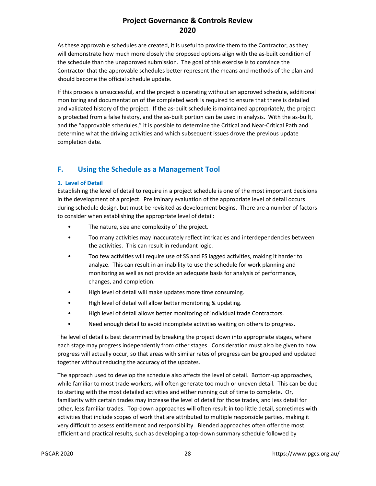As these approvable schedules are created, it is useful to provide them to the Contractor, as they will demonstrate how much more closely the proposed options align with the as-built condition of the schedule than the unapproved submission. The goal of this exercise is to convince the Contractor that the approvable schedules better represent the means and methods of the plan and should become the official schedule update.

If this process is unsuccessful, and the project is operating without an approved schedule, additional monitoring and documentation of the completed work is required to ensure that there is detailed and validated history of the project. If the as-built schedule is maintained appropriately, the project is protected from a false history, and the as-built portion can be used in analysis. With the as-built, and the "approvable schedules," it is possible to determine the Critical and Near-Critical Path and determine what the driving activities and which subsequent issues drove the previous update completion date.

# **F. Using the Schedule as a Management Tool**

### **1. Level of Detail**

Establishing the level of detail to require in a project schedule is one of the most important decisions in the development of a project. Preliminary evaluation of the appropriate level of detail occurs during schedule design, but must be revisited as development begins. There are a number of factors to consider when establishing the appropriate level of detail:

- The nature, size and complexity of the project.
- Too many activities may inaccurately reflect intricacies and interdependencies between the activities. This can result in redundant logic.
- Too few activities will require use of SS and FS lagged activities, making it harder to analyze. This can result in an inability to use the schedule for work planning and monitoring as well as not provide an adequate basis for analysis of performance, changes, and completion.
- High level of detail will make updates more time consuming.
- High level of detail will allow better monitoring & updating.
- High level of detail allows better monitoring of individual trade Contractors.
- Need enough detail to avoid incomplete activities waiting on others to progress.

The level of detail is best determined by breaking the project down into appropriate stages, where each stage may progress independently from other stages. Consideration must also be given to how progress will actually occur, so that areas with similar rates of progress can be grouped and updated together without reducing the accuracy of the updates.

The approach used to develop the schedule also affects the level of detail. Bottom-up approaches, while familiar to most trade workers, will often generate too much or uneven detail. This can be due to starting with the most detailed activities and either running out of time to complete. Or, familiarity with certain trades may increase the level of detail for those trades, and less detail for other, less familiar trades. Top-down approaches will often result in too little detail, sometimes with activities that include scopes of work that are attributed to multiple responsible parties, making it very difficult to assess entitlement and responsibility. Blended approaches often offer the most efficient and practical results, such as developing a top-down summary schedule followed by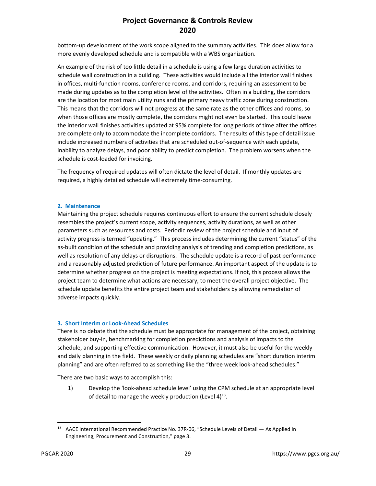bottom-up development of the work scope aligned to the summary activities. This does allow for a more evenly developed schedule and is compatible with a WBS organization.

An example of the risk of too little detail in a schedule is using a few large duration activities to schedule wall construction in a building. These activities would include all the interior wall finishes in offices, multi-function rooms, conference rooms, and corridors, requiring an assessment to be made during updates as to the completion level of the activities. Often in a building, the corridors are the location for most main utility runs and the primary heavy traffic zone during construction. This means that the corridors will not progress at the same rate as the other offices and rooms, so when those offices are mostly complete, the corridors might not even be started. This could leave the interior wall finishes activities updated at 95% complete for long periods of time after the offices are complete only to accommodate the incomplete corridors. The results of this type of detail issue include increased numbers of activities that are scheduled out-of-sequence with each update, inability to analyze delays, and poor ability to predict completion. The problem worsens when the schedule is cost-loaded for invoicing.

The frequency of required updates will often dictate the level of detail. If monthly updates are required, a highly detailed schedule will extremely time-consuming.

### **2. Maintenance**

Maintaining the project schedule requires continuous effort to ensure the current schedule closely resembles the project's current scope, activity sequences, activity durations, as well as other parameters such as resources and costs. Periodic review of the project schedule and input of activity progress is termed "updating." This process includes determining the current "status" of the as-built condition of the schedule and providing analysis of trending and completion predictions, as well as resolution of any delays or disruptions. The schedule update is a record of past performance and a reasonably adjusted prediction of future performance. An important aspect of the update is to determine whether progress on the project is meeting expectations. If not, this process allows the project team to determine what actions are necessary, to meet the overall project objective. The schedule update benefits the entire project team and stakeholders by allowing remediation of adverse impacts quickly.

#### **3. Short Interim or Look-Ahead Schedules**

There is no debate that the schedule must be appropriate for management of the project, obtaining stakeholder buy-in, benchmarking for completion predictions and analysis of impacts to the schedule, and supporting effective communication. However, it must also be useful for the weekly and daily planning in the field. These weekly or daily planning schedules are "short duration interim planning" and are often referred to as something like the "three week look-ahead schedules."

There are two basic ways to accomplish this:

1) Develop the 'look-ahead schedule level' using the CPM schedule at an appropriate level of detail to manage the weekly production (Level  $4)^{13}$ .

<sup>&</sup>lt;sup>13</sup> AACE International Recommended Practice No. 37R-06, "Schedule Levels of Detail — As Applied In Engineering, Procurement and Construction," page 3.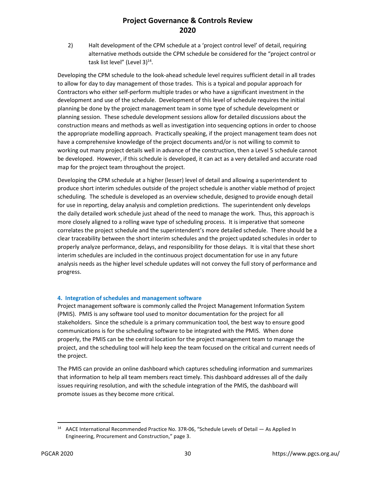2) Halt development of the CPM schedule at a 'project control level' of detail, requiring alternative methods outside the CPM schedule be considered for the "project control or task list level" (Level  $3)^{14}$ .

Developing the CPM schedule to the look-ahead schedule level requires sufficient detail in all trades to allow for day to day management of those trades. This is a typical and popular approach for Contractors who either self-perform multiple trades or who have a significant investment in the development and use of the schedule. Development of this level of schedule requires the initial planning be done by the project management team in some type of schedule development or planning session. These schedule development sessions allow for detailed discussions about the construction means and methods as well as investigation into sequencing options in order to choose the appropriate modelling approach. Practically speaking, if the project management team does not have a comprehensive knowledge of the project documents and/or is not willing to commit to working out many project details well in advance of the construction, then a Level 5 schedule cannot be developed. However, if this schedule is developed, it can act as a very detailed and accurate road map for the project team throughout the project.

Developing the CPM schedule at a higher (lesser) level of detail and allowing a superintendent to produce short interim schedules outside of the project schedule is another viable method of project scheduling. The schedule is developed as an overview schedule, designed to provide enough detail for use in reporting, delay analysis and completion predictions. The superintendent only develops the daily detailed work schedule just ahead of the need to manage the work. Thus, this approach is more closely aligned to a rolling wave type of scheduling process. It is imperative that someone correlates the project schedule and the superintendent's more detailed schedule. There should be a clear traceability between the short interim schedules and the project updated schedules in order to properly analyze performance, delays, and responsibility for those delays. It is vital that these short interim schedules are included in the continuous project documentation for use in any future analysis needs as the higher level schedule updates will not convey the full story of performance and progress.

#### **4. Integration of schedules and management software**

Project management software is commonly called the Project Management Information System (PMIS). PMIS is any software tool used to monitor documentation for the project for all stakeholders. Since the schedule is a primary communication tool, the best way to ensure good communications is for the scheduling software to be integrated with the PMIS. When done properly, the PMIS can be the central location for the project management team to manage the project, and the scheduling tool will help keep the team focused on the critical and current needs of the project.

The PMIS can provide an online dashboard which captures scheduling information and summarizes that information to help all team members react timely. This dashboard addresses all of the daily issues requiring resolution, and with the schedule integration of the PMIS, the dashboard will promote issues as they become more critical.

<sup>&</sup>lt;sup>14</sup> AACE International Recommended Practice No. 37R-06, "Schedule Levels of Detail — As Applied In Engineering, Procurement and Construction," page 3.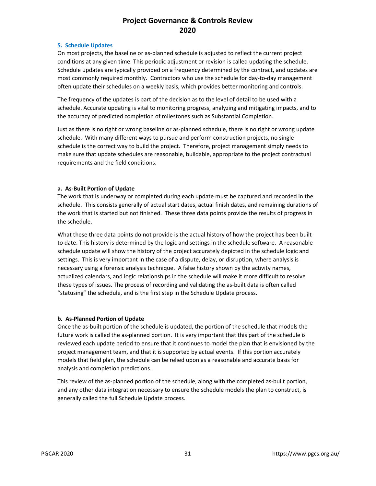#### **5. Schedule Updates**

On most projects, the baseline or as-planned schedule is adjusted to reflect the current project conditions at any given time. This periodic adjustment or revision is called updating the schedule. Schedule updates are typically provided on a frequency determined by the contract, and updates are most commonly required monthly. Contractors who use the schedule for day-to-day management often update their schedules on a weekly basis, which provides better monitoring and controls.

The frequency of the updates is part of the decision as to the level of detail to be used with a schedule. Accurate updating is vital to monitoring progress, analyzing and mitigating impacts, and to the accuracy of predicted completion of milestones such as Substantial Completion.

Just as there is no right or wrong baseline or as-planned schedule, there is no right or wrong update schedule. With many different ways to pursue and perform construction projects, no single schedule is the correct way to build the project. Therefore, project management simply needs to make sure that update schedules are reasonable, buildable, appropriate to the project contractual requirements and the field conditions.

### **a. As-Built Portion of Update**

The work that is underway or completed during each update must be captured and recorded in the schedule. This consists generally of actual start dates, actual finish dates, and remaining durations of the work that is started but not finished. These three data points provide the results of progress in the schedule.

What these three data points do not provide is the actual history of how the project has been built to date. This history is determined by the logic and settings in the schedule software. A reasonable schedule update will show the history of the project accurately depicted in the schedule logic and settings. This is very important in the case of a dispute, delay, or disruption, where analysis is necessary using a forensic analysis technique. A false history shown by the activity names, actualized calendars, and logic relationships in the schedule will make it more difficult to resolve these types of issues. The process of recording and validating the as-built data is often called "statusing" the schedule, and is the first step in the Schedule Update process.

#### **b. As-Planned Portion of Update**

Once the as-built portion of the schedule is updated, the portion of the schedule that models the future work is called the as-planned portion. It is very important that this part of the schedule is reviewed each update period to ensure that it continues to model the plan that is envisioned by the project management team, and that it is supported by actual events. If this portion accurately models that field plan, the schedule can be relied upon as a reasonable and accurate basis for analysis and completion predictions.

This review of the as-planned portion of the schedule, along with the completed as-built portion, and any other data integration necessary to ensure the schedule models the plan to construct, is generally called the full Schedule Update process.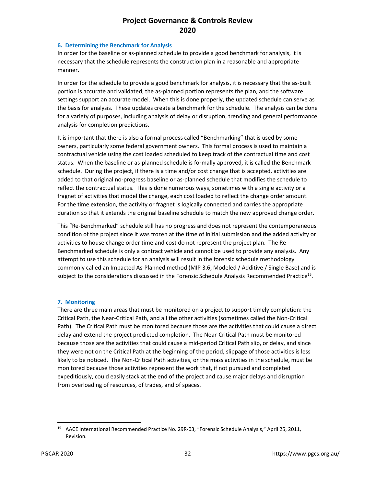#### **6. Determining the Benchmark for Analysis**

In order for the baseline or as-planned schedule to provide a good benchmark for analysis, it is necessary that the schedule represents the construction plan in a reasonable and appropriate manner.

In order for the schedule to provide a good benchmark for analysis, it is necessary that the as-built portion is accurate and validated, the as-planned portion represents the plan, and the software settings support an accurate model. When this is done properly, the updated schedule can serve as the basis for analysis. These updates create a benchmark for the schedule. The analysis can be done for a variety of purposes, including analysis of delay or disruption, trending and general performance analysis for completion predictions.

It is important that there is also a formal process called "Benchmarking" that is used by some owners, particularly some federal government owners. This formal process is used to maintain a contractual vehicle using the cost loaded scheduled to keep track of the contractual time and cost status. When the baseline or as-planned schedule is formally approved, it is called the Benchmark schedule. During the project, if there is a time and/or cost change that is accepted, activities are added to that original no-progress baseline or as-planned schedule that modifies the schedule to reflect the contractual status. This is done numerous ways, sometimes with a single activity or a fragnet of activities that model the change, each cost loaded to reflect the change order amount. For the time extension, the activity or fragnet is logically connected and carries the appropriate duration so that it extends the original baseline schedule to match the new approved change order.

This "Re-Benchmarked" schedule still has no progress and does not represent the contemporaneous condition of the project since it was frozen at the time of initial submission and the added activity or activities to house change order time and cost do not represent the project plan. The Re-Benchmarked schedule is only a contract vehicle and cannot be used to provide any analysis. Any attempt to use this schedule for an analysis will result in the forensic schedule methodology commonly called an Impacted As-Planned method (MIP 3.6, Modeled / Additive / Single Base) and is subject to the considerations discussed in the Forensic Schedule Analysis Recommended Practice<sup>15</sup>.

#### **7. Monitoring**

There are three main areas that must be monitored on a project to support timely completion: the Critical Path, the Near-Critical Path, and all the other activities (sometimes called the Non-Critical Path). The Critical Path must be monitored because those are the activities that could cause a direct delay and extend the project predicted completion. The Near-Critical Path must be monitored because those are the activities that could cause a mid-period Critical Path slip, or delay, and since they were not on the Critical Path at the beginning of the period, slippage of those activities is less likely to be noticed. The Non-Critical Path activities, or the mass activities in the schedule, must be monitored because those activities represent the work that, if not pursued and completed expeditiously, could easily stack at the end of the project and cause major delays and disruption from overloading of resources, of trades, and of spaces.

<sup>15</sup> AACE International Recommended Practice No. 29R-03, "Forensic Schedule Analysis," April 25, 2011, Revision.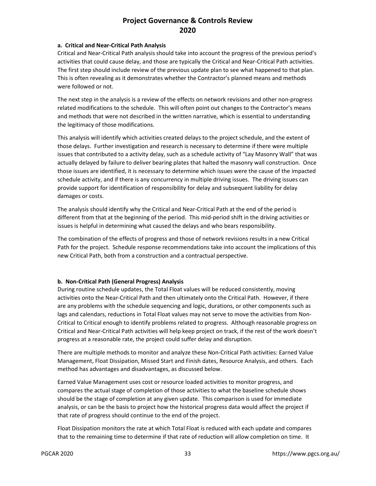#### **a. Critical and Near-Critical Path Analysis**

Critical and Near-Critical Path analysis should take into account the progress of the previous period's activities that could cause delay, and those are typically the Critical and Near-Critical Path activities. The first step should include review of the previous update plan to see what happened to that plan. This is often revealing as it demonstrates whether the Contractor's planned means and methods were followed or not.

The next step in the analysis is a review of the effects on network revisions and other non-progress related modifications to the schedule. This will often point out changes to the Contractor's means and methods that were not described in the written narrative, which is essential to understanding the legitimacy of those modifications.

This analysis will identify which activities created delays to the project schedule, and the extent of those delays. Further investigation and research is necessary to determine if there were multiple issues that contributed to a activity delay, such as a schedule activity of "Lay Masonry Wall" that was actually delayed by failure to deliver bearing plates that halted the masonry wall construction. Once those issues are identified, it is necessary to determine which issues were the cause of the impacted schedule activity, and if there is any concurrency in multiple driving issues. The driving issues can provide support for identification of responsibility for delay and subsequent liability for delay damages or costs.

The analysis should identify why the Critical and Near-Critical Path at the end of the period is different from that at the beginning of the period. This mid-period shift in the driving activities or issues is helpful in determining what caused the delays and who bears responsibility.

The combination of the effects of progress and those of network revisions results in a new Critical Path for the project. Schedule response recommendations take into account the implications of this new Critical Path, both from a construction and a contractual perspective.

### **b. Non-Critical Path (General Progress) Analysis**

During routine schedule updates, the Total Float values will be reduced consistently, moving activities onto the Near-Critical Path and then ultimately onto the Critical Path. However, if there are any problems with the schedule sequencing and logic, durations, or other components such as lags and calendars, reductions in Total Float values may not serve to move the activities from Non-Critical to Critical enough to identify problems related to progress. Although reasonable progress on Critical and Near-Critical Path activities will help keep project on track, if the rest of the work doesn't progress at a reasonable rate, the project could suffer delay and disruption.

There are multiple methods to monitor and analyze these Non-Critical Path activities: Earned Value Management, Float Dissipation, Missed Start and Finish dates, Resource Analysis, and others. Each method has advantages and disadvantages, as discussed below.

Earned Value Management uses cost or resource loaded activities to monitor progress, and compares the actual stage of completion of those activities to what the baseline schedule shows should be the stage of completion at any given update. This comparison is used for immediate analysis, or can be the basis to project how the historical progress data would affect the project if that rate of progress should continue to the end of the project.

Float Dissipation monitors the rate at which Total Float is reduced with each update and compares that to the remaining time to determine if that rate of reduction will allow completion on time. It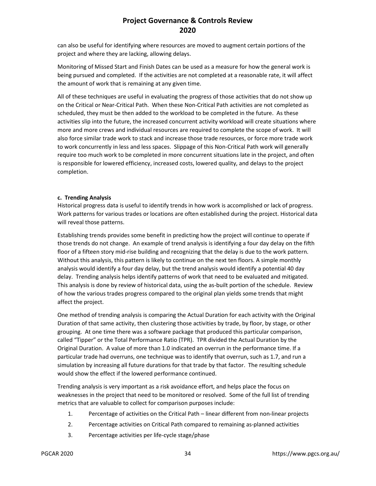can also be useful for identifying where resources are moved to augment certain portions of the project and where they are lacking, allowing delays.

Monitoring of Missed Start and Finish Dates can be used as a measure for how the general work is being pursued and completed. If the activities are not completed at a reasonable rate, it will affect the amount of work that is remaining at any given time.

All of these techniques are useful in evaluating the progress of those activities that do not show up on the Critical or Near-Critical Path. When these Non-Critical Path activities are not completed as scheduled, they must be then added to the workload to be completed in the future. As these activities slip into the future, the increased concurrent activity workload will create situations where more and more crews and individual resources are required to complete the scope of work. It will also force similar trade work to stack and increase those trade resources, or force more trade work to work concurrently in less and less spaces. Slippage of this Non-Critical Path work will generally require too much work to be completed in more concurrent situations late in the project, and often is responsible for lowered efficiency, increased costs, lowered quality, and delays to the project completion.

#### **c. Trending Analysis**

Historical progress data is useful to identify trends in how work is accomplished or lack of progress. Work patterns for various trades or locations are often established during the project. Historical data will reveal those patterns.

Establishing trends provides some benefit in predicting how the project will continue to operate if those trends do not change. An example of trend analysis is identifying a four day delay on the fifth floor of a fifteen story mid-rise building and recognizing that the delay is due to the work pattern. Without this analysis, this pattern is likely to continue on the next ten floors. A simple monthly analysis would identify a four day delay, but the trend analysis would identify a potential 40 day delay. Trending analysis helps identify patterns of work that need to be evaluated and mitigated. This analysis is done by review of historical data, using the as-built portion of the schedule. Review of how the various trades progress compared to the original plan yields some trends that might affect the project.

One method of trending analysis is comparing the Actual Duration for each activity with the Original Duration of that same activity, then clustering those activities by trade, by floor, by stage, or other grouping. At one time there was a software package that produced this particular comparison, called "Tipper" or the Total Performance Ratio (TPR). TPR divided the Actual Duration by the Original Duration. A value of more than 1.0 indicated an overrun in the performance time. If a particular trade had overruns, one technique was to identify that overrun, such as 1.7, and run a simulation by increasing all future durations for that trade by that factor. The resulting schedule would show the effect if the lowered performance continued.

Trending analysis is very important as a risk avoidance effort, and helps place the focus on weaknesses in the project that need to be monitored or resolved. Some of the full list of trending metrics that are valuable to collect for comparison purposes include:

- 1. Percentage of activities on the Critical Path linear different from non-linear projects
- 2. Percentage activities on Critical Path compared to remaining as-planned activities
- 3. Percentage activities per life-cycle stage/phase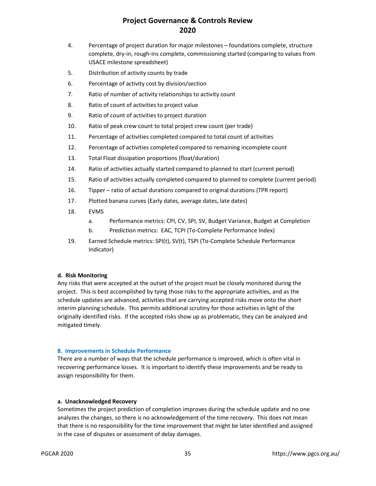- 4. Percentage of project duration for major milestones foundations complete, structure complete, dry-in, rough-ins complete, commissioning started (comparing to values from USACE milestone spreadsheet)
- 5. Distribution of activity counts by trade
- 6. Percentage of activity cost by division/section
- 7. Ratio of number of activity relationships to activity count
- 8. Ratio of count of activities to project value
- 9. Ratio of count of activities to project duration
- 10. Ratio of peak crew count to total project crew count (per trade)
- 11. Percentage of activities completed compared to total count of activities
- 12. Percentage of activities completed compared to remaining incomplete count
- 13. Total Float dissipation proportions (float/duration)
- 14. Ratio of activities actually started compared to planned to start (current period)
- 15. Ratio of activities actually completed compared to planned to complete (current period)
- 16. Tipper ratio of actual durations compared to original durations (TPR report)
- 17. Plotted banana curves (Early dates, average dates, late dates)
- 18. EVMS
	- a. Performance metrics: CPI, CV, SPI, SV, Budget Variance, Budget at Completion
	- b. Prediction metrics: EAC, TCPI (To-Complete Performance Index)
- 19. Earned Schedule metrics: SPI(t), SV(t), TSPI (To-Complete Schedule Performance Indicator)

#### **d. Risk Monitoring**

Any risks that were accepted at the outset of the project must be closely monitored during the project. This is best accomplished by tying those risks to the appropriate activities, and as the schedule updates are advanced, activities that are carrying accepted risks move onto the short interim planning schedule. This permits additional scrutiny for those activities in light of the originally identified risks. If the accepted risks show up as problematic, they can be analyzed and mitigated timely.

#### **8. Improvements in Schedule Performance**

There are a number of ways that the schedule performance is improved, which is often vital in recovering performance losses. It is important to identify these improvements and be ready to assign responsibility for them.

#### **a. Unacknowledged Recovery**

Sometimes the project prediction of completion improves during the schedule update and no one analyzes the changes, so there is no acknowledgement of the time recovery. This does not mean that there is no responsibility for the time improvement that might be later identified and assigned in the case of disputes or assessment of delay damages.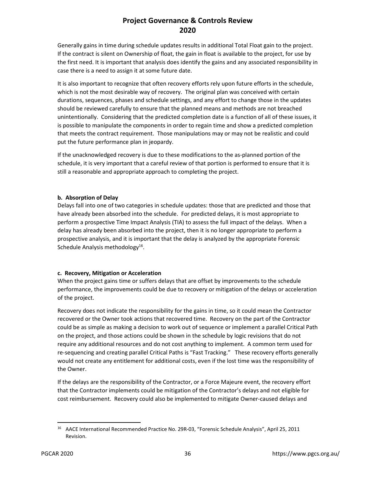Generally gains in time during schedule updates results in additional Total Float gain to the project. If the contract is silent on Ownership of float, the gain in float is available to the project, for use by the first need. It is important that analysis does identify the gains and any associated responsibility in case there is a need to assign it at some future date.

It is also important to recognize that often recovery efforts rely upon future efforts in the schedule, which is not the most desirable way of recovery. The original plan was conceived with certain durations, sequences, phases and schedule settings, and any effort to change those in the updates should be reviewed carefully to ensure that the planned means and methods are not breached unintentionally. Considering that the predicted completion date is a function of all of these issues, it is possible to manipulate the components in order to regain time and show a predicted completion that meets the contract requirement. Those manipulations may or may not be realistic and could put the future performance plan in jeopardy.

If the unacknowledged recovery is due to these modifications to the as-planned portion of the schedule, it is very important that a careful review of that portion is performed to ensure that it is still a reasonable and appropriate approach to completing the project.

### **b. Absorption of Delay**

Delays fall into one of two categories in schedule updates: those that are predicted and those that have already been absorbed into the schedule. For predicted delays, it is most appropriate to perform a prospective Time Impact Analysis (TIA) to assess the full impact of the delays. When a delay has already been absorbed into the project, then it is no longer appropriate to perform a prospective analysis, and it is important that the delay is analyzed by the appropriate Forensic Schedule Analysis methodology<sup>16</sup>.

### **c. Recovery, Mitigation or Acceleration**

When the project gains time or suffers delays that are offset by improvements to the schedule performance, the improvements could be due to recovery or mitigation of the delays or acceleration of the project.

Recovery does not indicate the responsibility for the gains in time, so it could mean the Contractor recovered or the Owner took actions that recovered time. Recovery on the part of the Contractor could be as simple as making a decision to work out of sequence or implement a parallel Critical Path on the project, and those actions could be shown in the schedule by logic revisions that do not require any additional resources and do not cost anything to implement. A common term used for re-sequencing and creating parallel Critical Paths is "Fast Tracking." These recovery efforts generally would not create any entitlement for additional costs, even if the lost time was the responsibility of the Owner.

If the delays are the responsibility of the Contractor, or a Force Majeure event, the recovery effort that the Contractor implements could be mitigation of the Contractor's delays and not eligible for cost reimbursement. Recovery could also be implemented to mitigate Owner-caused delays and

<sup>16</sup> AACE International Recommended Practice No. 29R-03, "Forensic Schedule Analysis", April 25, 2011 Revision.